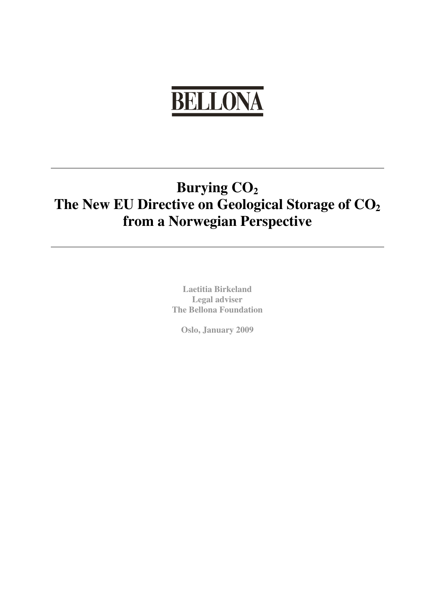# **BELLONA**

# **Burying CO2 The New EU Directive on Geological Storage of CO2 from a Norwegian Perspective**

**Laetitia Birkeland Legal adviser The Bellona Foundation** 

**Oslo, January 2009**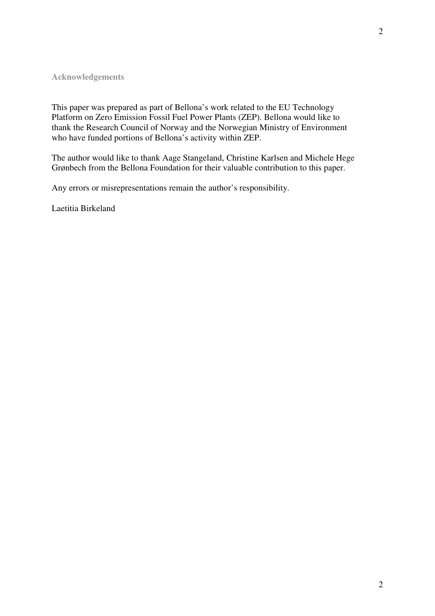# **Acknowledgements**

This paper was prepared as part of Bellona's work related to the EU Technology Platform on Zero Emission Fossil Fuel Power Plants (ZEP). Bellona would like to thank the Research Council of Norway and the Norwegian Ministry of Environment who have funded portions of Bellona's activity within ZEP.

The author would like to thank Aage Stangeland, Christine Karlsen and Michele Hege Grønbech from the Bellona Foundation for their valuable contribution to this paper.

Any errors or misrepresentations remain the author's responsibility.

Laetitia Birkeland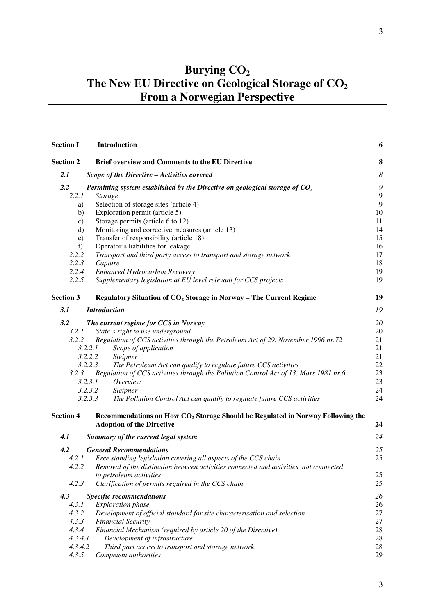# **Burying CO2 The New EU Directive on Geological Storage of CO2 From a Norwegian Perspective**

| <b>Section I</b> | <b>Introduction</b>                                                                        | 6        |
|------------------|--------------------------------------------------------------------------------------------|----------|
| <b>Section 2</b> | <b>Brief overview and Comments to the EU Directive</b>                                     | 8        |
| 2.1              | Scope of the Directive - Activities covered                                                | $\delta$ |
| 2.2              | Permitting system established by the Directive on geological storage of $CO2$              | ς        |
| 2.2.1            | <b>Storage</b>                                                                             | 9        |
| a)               | Selection of storage sites (article 4)                                                     | 9        |
| b)               | Exploration permit (article 5)                                                             | 10       |
| c)               | Storage permits (article 6 to 12)                                                          | 11       |
| $\mathbf{d}$     | Monitoring and corrective measures (article 13)                                            | 14       |
| e)               | Transfer of responsibility (article 18)                                                    | 15       |
| f                | Operator's liabilities for leakage                                                         | 16       |
| 2.2.2            | Transport and third party access to transport and storage network                          | 17       |
| 2.2.3            | Capture                                                                                    | 18       |
| 2.2.4            | Enhanced Hydrocarbon Recovery                                                              | 19       |
| 2.2.5            | Supplementary legislation at EU level relevant for CCS projects                            | 19       |
| <b>Section 3</b> | Regulatory Situation of $CO2$ Storage in Norway – The Current Regime                       | 19       |
| 3.1              | <b>Introduction</b>                                                                        | 19       |
| 3.2              | The current regime for CCS in Norway                                                       | 20       |
| 3.2.1            | State's right to use underground                                                           | 20       |
| 3.2.2            | Regulation of CCS activities through the Petroleum Act of 29. November 1996 nr.72          | 21       |
|                  | 3.2.2.1<br>Scope of application                                                            | 21       |
|                  | 3.2.2.2<br>Sleipner                                                                        | 21       |
|                  | 3.2.2.3<br>The Petroleum Act can qualify to regulate future CCS activities                 | 22       |
| 3.2.3            | Regulation of CCS activities through the Pollution Control Act of 13. Mars 1981 nr.6       | 23       |
|                  | 3.2.3.1<br>Overview                                                                        | 23       |
|                  | 3.2.3.2<br>Sleipner                                                                        | 24       |
|                  | 3.2.3.3<br>The Pollution Control Act can qualify to regulate future CCS activities         | 24       |
| <b>Section 4</b> | Recommendations on How CO <sub>2</sub> Storage Should be Regulated in Norway Following the |          |
|                  | <b>Adoption of the Directive</b>                                                           | 24       |
| 4.1              | Summary of the current legal system                                                        | 24       |
| 4.2              | <b>General Recommendations</b>                                                             | 25       |
| 4.2.1            | Free standing legislation covering all aspects of the CCS chain                            | 25       |
| 4.2.2            | Removal of the distinction between activities connected and activities not connected       |          |
|                  | to petroleum activities                                                                    | 25       |
| 4.2.3            | Clarification of permits required in the CCS chain                                         | 25       |
| 4.3              | <b>Specific recommendations</b>                                                            | 26       |
| 4.3.1            | <b>Exploration</b> phase                                                                   | 26       |
| 4.3.2            | Development of official standard for site characterisation and selection                   | 27       |
| 4.3.3            | <b>Financial Security</b>                                                                  | 27       |
| 4.3.4            | Financial Mechanism (required by article 20 of the Directive)                              | 28       |
| 4.3.4.1          | Development of infrastructure                                                              | 28       |
| 4.3.4.2          | Third part access to transport and storage network                                         | 28       |
| 4.3.5            | Competent authorities                                                                      | 29       |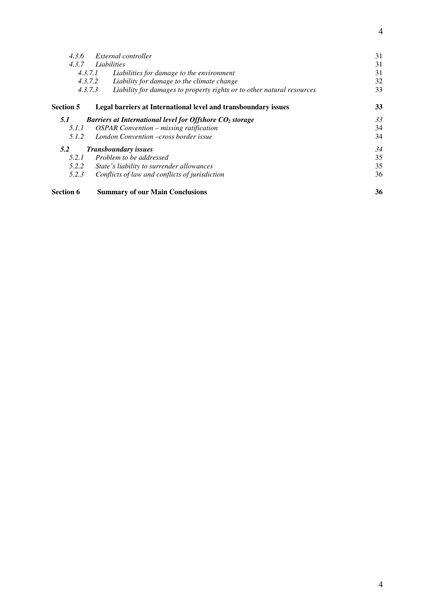| <b>Section 6</b> | <b>Summary of our Main Conclusions</b>                                            | 36 |
|------------------|-----------------------------------------------------------------------------------|----|
| 5.2.3            | Conflicts of law and conflicts of jurisdiction                                    | 36 |
| 5.2.2            | State's liability to surrender allowances                                         | 35 |
| 5.2.1            | Problem to be addressed                                                           | 35 |
| 5.2              | <b>Transboundary issues</b>                                                       | 34 |
| 5.1.2            | London Convention –cross border issue                                             | 34 |
| 5.1.1            | <b>OSPAR Convention – missing ratification</b>                                    | 34 |
| 5.1              | Barriers at International level for Offshore $CO2$ storage                        | 33 |
| Section 5        | Legal barriers at International level and transboundary issues                    | 33 |
|                  | 4.3.7.3<br>Liability for damages to property rights or to other natural resources | 33 |
|                  | 4.3.7.2<br>Liability for damage to the climate change                             | 32 |
|                  | 4.3.7.1<br>Liabilities for damage to the environment                              | 31 |
| 4.3.7            | Liabilities                                                                       | 31 |
| 4.3.6            | External controller                                                               | 31 |
|                  |                                                                                   |    |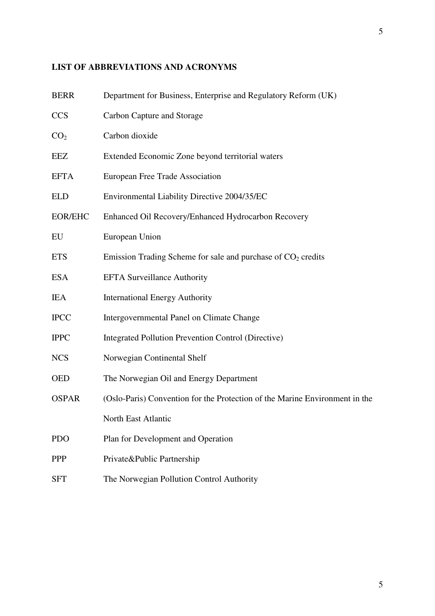# **LIST OF ABBREVIATIONS AND ACRONYMS**

| <b>BERR</b>     | Department for Business, Enterprise and Regulatory Reform (UK)              |
|-----------------|-----------------------------------------------------------------------------|
| <b>CCS</b>      | Carbon Capture and Storage                                                  |
| CO <sub>2</sub> | Carbon dioxide                                                              |
| EEZ             | Extended Economic Zone beyond territorial waters                            |
| <b>EFTA</b>     | European Free Trade Association                                             |
| <b>ELD</b>      | Environmental Liability Directive 2004/35/EC                                |
| <b>EOR/EHC</b>  | Enhanced Oil Recovery/Enhanced Hydrocarbon Recovery                         |
| EU              | European Union                                                              |
| <b>ETS</b>      | Emission Trading Scheme for sale and purchase of $CO2$ credits              |
| <b>ESA</b>      | <b>EFTA Surveillance Authority</b>                                          |
| <b>IEA</b>      | <b>International Energy Authority</b>                                       |
| <b>IPCC</b>     | Intergovernmental Panel on Climate Change                                   |
| <b>IPPC</b>     | Integrated Pollution Prevention Control (Directive)                         |
| <b>NCS</b>      | Norwegian Continental Shelf                                                 |
| <b>OED</b>      | The Norwegian Oil and Energy Department                                     |
| <b>OSPAR</b>    | (Oslo-Paris) Convention for the Protection of the Marine Environment in the |
|                 | North East Atlantic                                                         |
| <b>PDO</b>      | Plan for Development and Operation                                          |
| <b>PPP</b>      | Private&Public Partnership                                                  |
| <b>SFT</b>      | The Norwegian Pollution Control Authority                                   |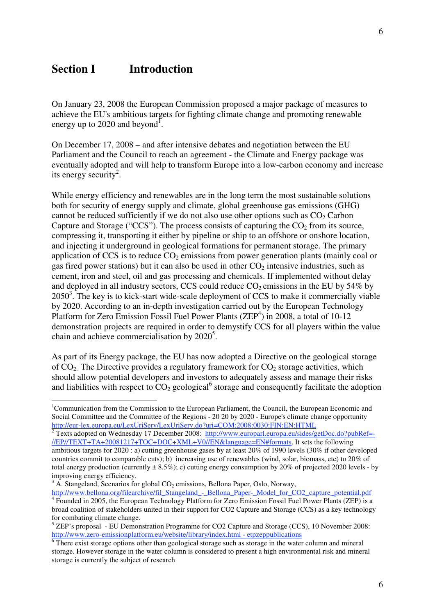# **Section I** Introduction

 $\overline{a}$ 

On January 23, 2008 the European Commission proposed a major package of measures to achieve the EU's ambitious targets for fighting climate change and promoting renewable energy up to 2020 and beyond<sup>1</sup>.

On December 17, 2008 – and after intensive debates and negotiation between the EU Parliament and the Council to reach an agreement - the Climate and Energy package was eventually adopted and will help to transform Europe into a low-carbon economy and increase its energy security<sup>2</sup>.

While energy efficiency and renewables are in the long term the most sustainable solutions both for security of energy supply and climate, global greenhouse gas emissions (GHG) cannot be reduced sufficiently if we do not also use other options such as  $CO<sub>2</sub>$  Carbon Capture and Storage ("CCS"). The process consists of capturing the  $CO<sub>2</sub>$  from its source, compressing it, transporting it either by pipeline or ship to an offshore or onshore location, and injecting it underground in geological formations for permanent storage. The primary application of CCS is to reduce  $CO<sub>2</sub>$  emissions from power generation plants (mainly coal or gas fired power stations) but it can also be used in other  $CO<sub>2</sub>$  intensive industries, such as cement, iron and steel, oil and gas processing and chemicals. If implemented without delay and deployed in all industry sectors, CCS could reduce  $CO<sub>2</sub>$  emissions in the EU by 54% by  $2050<sup>3</sup>$ . The key is to kick-start wide-scale deployment of CCS to make it commercially viable by 2020. According to an in-depth investigation carried out by the European Technology Platform for Zero Emission Fossil Fuel Power Plants (ZEP<sup>4</sup>) in 2008, a total of 10-12 demonstration projects are required in order to demystify CCS for all players within the value chain and achieve commercialisation by  $2020^5$ .

As part of its Energy package, the EU has now adopted a Directive on the geological storage of  $CO<sub>2</sub>$ . The Directive provides a regulatory framework for  $CO<sub>2</sub>$  storage activities, which should allow potential developers and investors to adequately assess and manage their risks and liabilities with respect to  $CO_2$  geological<sup>6</sup> storage and consequently facilitate the adoption

<sup>&</sup>lt;sup>1</sup>Communication from the Commission to the European Parliament, the Council, the European Economic and Social Committee and the Committee of the Regions - 20 20 by 2020 - Europe's climate change opportunity http://eur-lex.europa.eu/LexUriServ/LexUriServ.do?uri=COM:2008:0030:FIN:EN:HTML 2.

Texts adopted on Wednesday 17 December 2008: http://www.europarl.europa.eu/sides/getDoc.do?pubRef=- //EP//TEXT+TA+20081217+TOC+DOC+XML+V0//EN&language=EN#formats. It sets the following ambitious targets for 2020 : a) cutting greenhouse gases by at least 20% of 1990 levels (30% if other developed countries commit to comparable cuts); b) increasing use of renewables (wind, solar, biomass, etc) to 20% of total energy production (currently  $\pm 8.5\%$ ); c) cutting energy consumption by 20% of projected 2020 levels - by improving energy efficiency.

 $3$  A. Stangeland, Scenarios for global  $CO<sub>2</sub>$  emissions, Bellona Paper, Oslo, Norway,

http://www.bellona.org/filearchive/fil\_Stangeland\_-\_Bellona\_Paper-\_Model\_for\_CO2\_capture\_potential.pdf Founded in 2005, the European Technology Platform for Zero Emission Fossil Fuel Power Plants (ZEP) is a broad coalition of stakeholders united in their support for CO2 Capture and Storage (CCS) as a key technology for combating climate change.

<sup>&</sup>lt;sup>5</sup> ZEP's proposal - EU Demonstration Programme for CO2 Capture and Storage (CCS), 10 November 2008: http://www.zero-emissionplatform.eu/website/library/index.html - etpzeppublications<br><sup>6</sup> There exist storage options other than geological storage such as storage in the water column and mineral

storage. However storage in the water column is considered to present a high environmental risk and mineral storage is currently the subject of research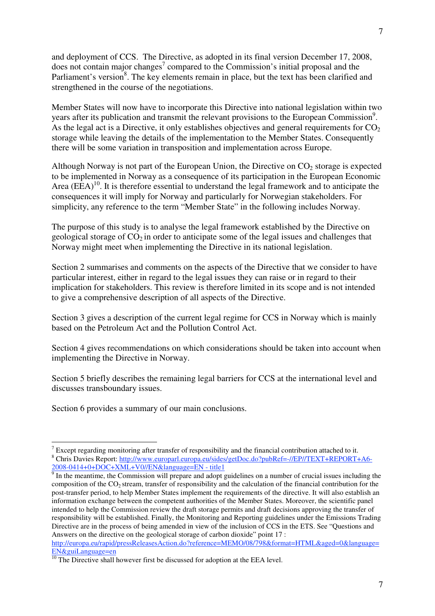and deployment of CCS. The Directive, as adopted in its final version December 17, 2008, does not contain major changes<sup>7</sup> compared to the Commission's initial proposal and the Parliament's version<sup>8</sup>. The key elements remain in place, but the text has been clarified and strengthened in the course of the negotiations.

Member States will now have to incorporate this Directive into national legislation within two years after its publication and transmit the relevant provisions to the European Commission<sup>9</sup>. As the legal act is a Directive, it only establishes objectives and general requirements for  $CO<sub>2</sub>$ storage while leaving the details of the implementation to the Member States. Consequently there will be some variation in transposition and implementation across Europe.

Although Norway is not part of the European Union, the Directive on  $CO<sub>2</sub>$  storage is expected to be implemented in Norway as a consequence of its participation in the European Economic Area  $(EEA)^{10}$ . It is therefore essential to understand the legal framework and to anticipate the consequences it will imply for Norway and particularly for Norwegian stakeholders. For simplicity, any reference to the term "Member State" in the following includes Norway.

The purpose of this study is to analyse the legal framework established by the Directive on geological storage of  $CO<sub>2</sub>$  in order to anticipate some of the legal issues and challenges that Norway might meet when implementing the Directive in its national legislation.

Section 2 summarises and comments on the aspects of the Directive that we consider to have particular interest, either in regard to the legal issues they can raise or in regard to their implication for stakeholders. This review is therefore limited in its scope and is not intended to give a comprehensive description of all aspects of the Directive.

Section 3 gives a description of the current legal regime for CCS in Norway which is mainly based on the Petroleum Act and the Pollution Control Act.

Section 4 gives recommendations on which considerations should be taken into account when implementing the Directive in Norway.

Section 5 briefly describes the remaining legal barriers for CCS at the international level and discusses transboundary issues.

Section 6 provides a summary of our main conclusions.

Except regarding monitoring after transfer of responsibility and the financial contribution attached to it.<br><sup>8</sup> Chris Davise Bapart: http://www.ayrongel.ayrong.av/sideo/setDee.de?pybBef=//ED//TEVT+BEDOPT+ <sup>8</sup> Chris Davies Report: http://www.europarl.europa.eu/sides/getDoc.do?pubRef=-//EP//TEXT+REPORT+A6-2008-0414+0+DOC+XML+V0//EN&language=EN - title1

<sup>&</sup>lt;sup>9</sup> In the meantime, the Commission will prepare and adopt guidelines on a number of crucial issues including the composition of the CO2 stream, transfer of responsibility and the calculation of the financial contribution for the post-transfer period, to help Member States implement the requirements of the directive. It will also establish an information exchange between the competent authorities of the Member States. Moreover, the scientific panel intended to help the Commission review the draft storage permits and draft decisions approving the transfer of responsibility will be established. Finally, the Monitoring and Reporting guidelines under the Emissions Trading Directive are in the process of being amended in view of the inclusion of CCS in the ETS. See "Questions and Answers on the directive on the geological storage of carbon dioxide" point 17 :

http://europa.eu/rapid/pressReleasesAction.do?reference=MEMO/08/798&format=HTML&aged=0&language= EN&guiLanguage=en

 $\frac{10}{10}$  The Directive shall however first be discussed for adoption at the EEA level.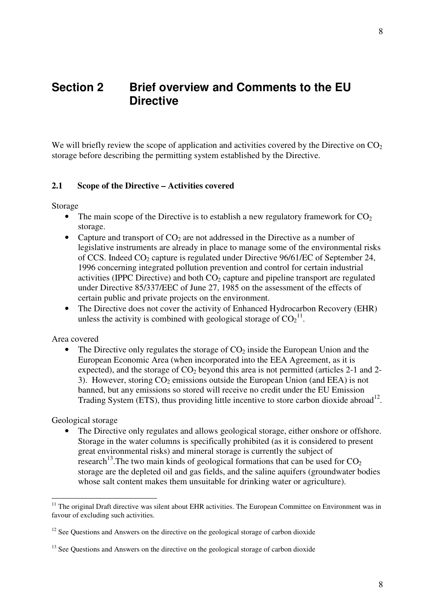# **Section 2 Brief overview and Comments to the EU Directive**

We will briefly review the scope of application and activities covered by the Directive on  $CO<sub>2</sub>$ storage before describing the permitting system established by the Directive.

# **2.1 Scope of the Directive – Activities covered**

Storage

- The main scope of the Directive is to establish a new regulatory framework for  $CO<sub>2</sub>$ storage.
- Capture and transport of  $CO<sub>2</sub>$  are not addressed in the Directive as a number of legislative instruments are already in place to manage some of the environmental risks of CCS. Indeed  $CO<sub>2</sub>$  capture is regulated under Directive 96/61/EC of September 24, 1996 concerning integrated pollution prevention and control for certain industrial activities (IPPC Directive) and both  $CO<sub>2</sub>$  capture and pipeline transport are regulated under Directive 85/337/EEC of June 27, 1985 on the assessment of the effects of certain public and private projects on the environment.
- The Directive does not cover the activity of Enhanced Hydrocarbon Recovery (EHR) unless the activity is combined with geological storage of  $CO<sub>2</sub><sup>11</sup>$ .

#### Area covered

• The Directive only regulates the storage of  $CO<sub>2</sub>$  inside the European Union and the European Economic Area (when incorporated into the EEA Agreement, as it is expected), and the storage of  $CO<sub>2</sub>$  beyond this area is not permitted (articles 2-1 and 2-3). However, storing  $CO<sub>2</sub>$  emissions outside the European Union (and EEA) is not banned, but any emissions so stored will receive no credit under the EU Emission Trading System (ETS), thus providing little incentive to store carbon dioxide abroad<sup>12</sup>.

Geological storage

 $\overline{a}$ 

The Directive only regulates and allows geological storage, either onshore or offshore. Storage in the water columns is specifically prohibited (as it is considered to present great environmental risks) and mineral storage is currently the subject of research<sup>13</sup>. The two main kinds of geological formations that can be used for  $CO<sub>2</sub>$ storage are the depleted oil and gas fields, and the saline aquifers (groundwater bodies whose salt content makes them unsuitable for drinking water or agriculture).

<sup>&</sup>lt;sup>11</sup> The original Draft directive was silent about EHR activities. The European Committee on Environment was in favour of excluding such activities.

<sup>&</sup>lt;sup>12</sup> See Ouestions and Answers on the directive on the geological storage of carbon dioxide

<sup>&</sup>lt;sup>13</sup> See Questions and Answers on the directive on the geological storage of carbon dioxide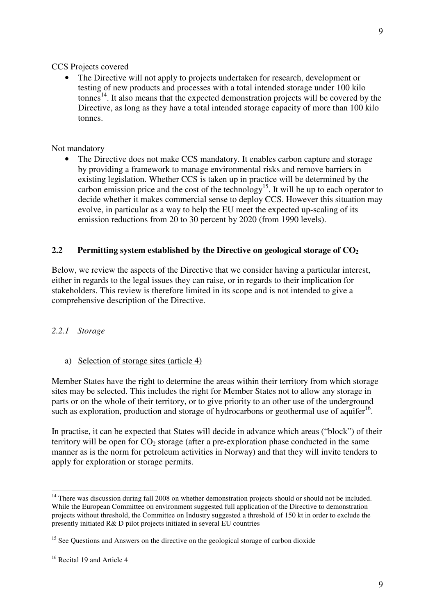CCS Projects covered

• The Directive will not apply to projects undertaken for research, development or testing of new products and processes with a total intended storage under 100 kilo  $t$ onnes<sup>14</sup>. It also means that the expected demonstration projects will be covered by the Directive, as long as they have a total intended storage capacity of more than 100 kilo tonnes.

#### Not mandatory

• The Directive does not make CCS mandatory. It enables carbon capture and storage by providing a framework to manage environmental risks and remove barriers in existing legislation. Whether CCS is taken up in practice will be determined by the carbon emission price and the cost of the technology<sup>15</sup>. It will be up to each operator to decide whether it makes commercial sense to deploy CCS. However this situation may evolve, in particular as a way to help the EU meet the expected up-scaling of its emission reductions from 20 to 30 percent by 2020 (from 1990 levels).

# **2.2** Permitting system established by the Directive on geological storage of  $CO<sub>2</sub>$

Below, we review the aspects of the Directive that we consider having a particular interest, either in regards to the legal issues they can raise, or in regards to their implication for stakeholders. This review is therefore limited in its scope and is not intended to give a comprehensive description of the Directive.

# *2.2.1 Storage*

a) Selection of storage sites (article 4)

Member States have the right to determine the areas within their territory from which storage sites may be selected. This includes the right for Member States not to allow any storage in parts or on the whole of their territory, or to give priority to an other use of the underground such as exploration, production and storage of hydrocarbons or geothermal use of aquifer<sup>16</sup>.

In practise, it can be expected that States will decide in advance which areas ("block") of their territory will be open for  $CO<sub>2</sub>$  storage (after a pre-exploration phase conducted in the same manner as is the norm for petroleum activities in Norway) and that they will invite tenders to apply for exploration or storage permits.

<sup>&</sup>lt;sup>14</sup> There was discussion during fall 2008 on whether demonstration projects should or should not be included. While the European Committee on environment suggested full application of the Directive to demonstration projects without threshold, the Committee on Industry suggested a threshold of 150 kt in order to exclude the presently initiated R& D pilot projects initiated in several EU countries

<sup>&</sup>lt;sup>15</sup> See Ouestions and Answers on the directive on the geological storage of carbon dioxide

<sup>&</sup>lt;sup>16</sup> Recital 19 and Article 4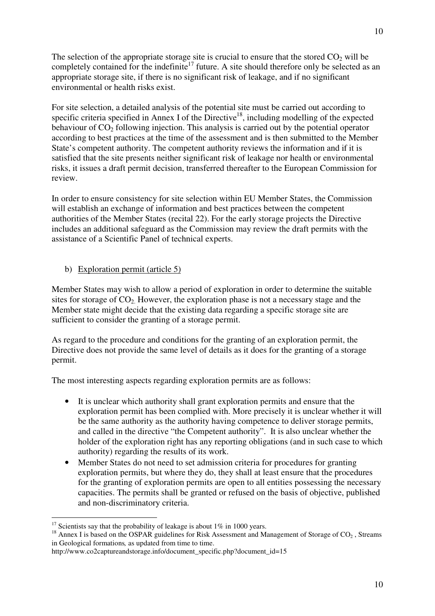The selection of the appropriate storage site is crucial to ensure that the stored  $CO<sub>2</sub>$  will be completely contained for the indefinite<sup>17</sup> future. A site should therefore only be selected as an appropriate storage site, if there is no significant risk of leakage, and if no significant environmental or health risks exist.

For site selection, a detailed analysis of the potential site must be carried out according to specific criteria specified in Annex I of the Directive<sup>18</sup>, including modelling of the expected behaviour of  $CO<sub>2</sub>$  following injection. This analysis is carried out by the potential operator according to best practices at the time of the assessment and is then submitted to the Member State's competent authority. The competent authority reviews the information and if it is satisfied that the site presents neither significant risk of leakage nor health or environmental risks, it issues a draft permit decision, transferred thereafter to the European Commission for review.

In order to ensure consistency for site selection within EU Member States, the Commission will establish an exchange of information and best practices between the competent authorities of the Member States (recital 22). For the early storage projects the Directive includes an additional safeguard as the Commission may review the draft permits with the assistance of a Scientific Panel of technical experts.

b) Exploration permit (article 5)

Member States may wish to allow a period of exploration in order to determine the suitable sites for storage of  $CO<sub>2</sub>$ . However, the exploration phase is not a necessary stage and the Member state might decide that the existing data regarding a specific storage site are sufficient to consider the granting of a storage permit.

As regard to the procedure and conditions for the granting of an exploration permit, the Directive does not provide the same level of details as it does for the granting of a storage permit.

The most interesting aspects regarding exploration permits are as follows:

- It is unclear which authority shall grant exploration permits and ensure that the exploration permit has been complied with. More precisely it is unclear whether it will be the same authority as the authority having competence to deliver storage permits, and called in the directive "the Competent authority". It is also unclear whether the holder of the exploration right has any reporting obligations (and in such case to which authority) regarding the results of its work.
- Member States do not need to set admission criteria for procedures for granting exploration permits, but where they do, they shall at least ensure that the procedures for the granting of exploration permits are open to all entities possessing the necessary capacities. The permits shall be granted or refused on the basis of objective, published and non-discriminatory criteria.

<sup>&</sup>lt;sup>17</sup> Scientists say that the probability of leakage is about 1% in 1000 years.

<sup>&</sup>lt;sup>18</sup> Annex I is based on the OSPAR guidelines for Risk Assessment and Management of Storage of CO<sub>2</sub>, Streams in Geological formations*,* as updated from time to time.

http://www.co2captureandstorage.info/document\_specific.php?document\_id=15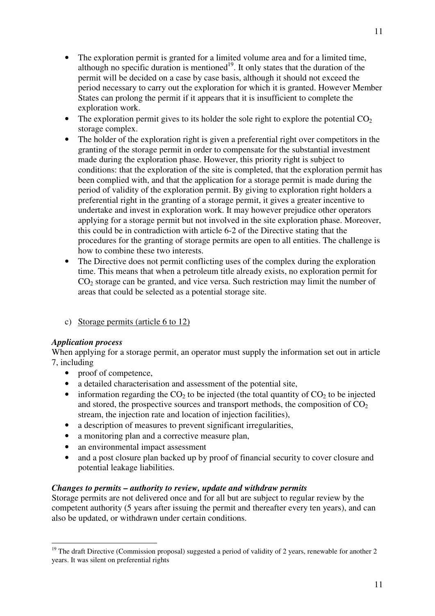- The exploration permit is granted for a limited volume area and for a limited time, although no specific duration is mentioned<sup>19</sup>. It only states that the duration of the permit will be decided on a case by case basis, although it should not exceed the period necessary to carry out the exploration for which it is granted. However Member States can prolong the permit if it appears that it is insufficient to complete the exploration work.
- The exploration permit gives to its holder the sole right to explore the potential  $CO<sub>2</sub>$ storage complex.
- The holder of the exploration right is given a preferential right over competitors in the granting of the storage permit in order to compensate for the substantial investment made during the exploration phase. However, this priority right is subject to conditions: that the exploration of the site is completed, that the exploration permit has been complied with, and that the application for a storage permit is made during the period of validity of the exploration permit. By giving to exploration right holders a preferential right in the granting of a storage permit, it gives a greater incentive to undertake and invest in exploration work. It may however prejudice other operators applying for a storage permit but not involved in the site exploration phase. Moreover, this could be in contradiction with article 6-2 of the Directive stating that the procedures for the granting of storage permits are open to all entities. The challenge is how to combine these two interests.
- The Directive does not permit conflicting uses of the complex during the exploration time. This means that when a petroleum title already exists, no exploration permit for  $CO<sub>2</sub>$  storage can be granted, and vice versa. Such restriction may limit the number of areas that could be selected as a potential storage site.
- c) Storage permits (article 6 to 12)

# *Application process*

When applying for a storage permit, an operator must supply the information set out in article 7, including

- proof of competence,
- a detailed characterisation and assessment of the potential site,
- information regarding the  $CO<sub>2</sub>$  to be injected (the total quantity of  $CO<sub>2</sub>$  to be injected and stored, the prospective sources and transport methods, the composition of  $CO<sub>2</sub>$ stream, the injection rate and location of injection facilities),
- a description of measures to prevent significant irregularities,
- a monitoring plan and a corrective measure plan,
- an environmental impact assessment
- and a post closure plan backed up by proof of financial security to cover closure and potential leakage liabilities.

# *Changes to permits – authority to review, update and withdraw permits*

Storage permits are not delivered once and for all but are subject to regular review by the competent authority (5 years after issuing the permit and thereafter every ten years), and can also be updated, or withdrawn under certain conditions.

 $\overline{a}$  $19$  The draft Directive (Commission proposal) suggested a period of validity of 2 years, renewable for another 2 years. It was silent on preferential rights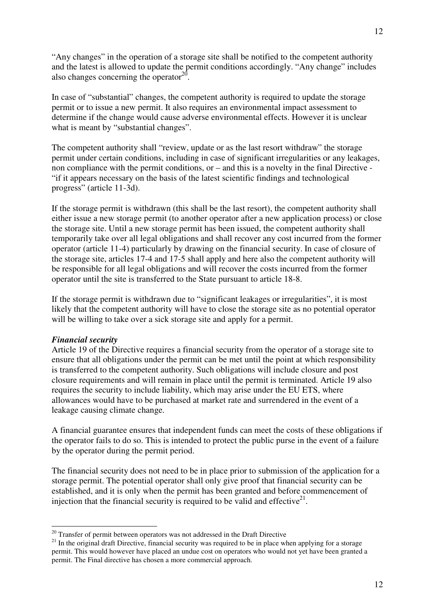"Any changes" in the operation of a storage site shall be notified to the competent authority and the latest is allowed to update the permit conditions accordingly. "Any change" includes also changes concerning the operator $20$ .

In case of "substantial" changes, the competent authority is required to update the storage permit or to issue a new permit. It also requires an environmental impact assessment to determine if the change would cause adverse environmental effects. However it is unclear what is meant by "substantial changes".

The competent authority shall "review, update or as the last resort withdraw" the storage permit under certain conditions, including in case of significant irregularities or any leakages, non compliance with the permit conditions, or – and this is a novelty in the final Directive - "if it appears necessary on the basis of the latest scientific findings and technological progress" (article 11-3d).

If the storage permit is withdrawn (this shall be the last resort), the competent authority shall either issue a new storage permit (to another operator after a new application process) or close the storage site. Until a new storage permit has been issued, the competent authority shall temporarily take over all legal obligations and shall recover any cost incurred from the former operator (article 11-4) particularly by drawing on the financial security. In case of closure of the storage site, articles 17-4 and 17-5 shall apply and here also the competent authority will be responsible for all legal obligations and will recover the costs incurred from the former operator until the site is transferred to the State pursuant to article 18-8.

If the storage permit is withdrawn due to "significant leakages or irregularities", it is most likely that the competent authority will have to close the storage site as no potential operator will be willing to take over a sick storage site and apply for a permit.

# *Financial security*

Article 19 of the Directive requires a financial security from the operator of a storage site to ensure that all obligations under the permit can be met until the point at which responsibility is transferred to the competent authority. Such obligations will include closure and post closure requirements and will remain in place until the permit is terminated. Article 19 also requires the security to include liability, which may arise under the EU ETS, where allowances would have to be purchased at market rate and surrendered in the event of a leakage causing climate change.

A financial guarantee ensures that independent funds can meet the costs of these obligations if the operator fails to do so. This is intended to protect the public purse in the event of a failure by the operator during the permit period.

The financial security does not need to be in place prior to submission of the application for a storage permit. The potential operator shall only give proof that financial security can be established, and it is only when the permit has been granted and before commencement of injection that the financial security is required to be valid and effective<sup>21</sup>.

 $20$  Transfer of permit between operators was not addressed in the Draft Directive

 $21$  In the original draft Directive, financial security was required to be in place when applying for a storage permit. This would however have placed an undue cost on operators who would not yet have been granted a permit. The Final directive has chosen a more commercial approach.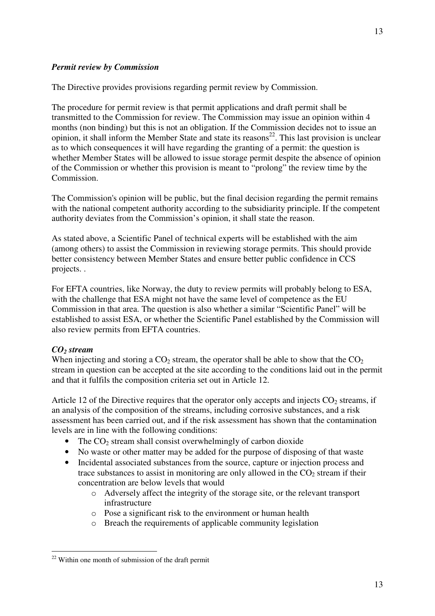The Directive provides provisions regarding permit review by Commission.

The procedure for permit review is that permit applications and draft permit shall be transmitted to the Commission for review. The Commission may issue an opinion within 4 months (non binding) but this is not an obligation. If the Commission decides not to issue an opinion, it shall inform the Member State and state its reasons<sup>22</sup>. This last provision is unclear as to which consequences it will have regarding the granting of a permit: the question is whether Member States will be allowed to issue storage permit despite the absence of opinion of the Commission or whether this provision is meant to "prolong" the review time by the Commission.

The Commission's opinion will be public, but the final decision regarding the permit remains with the national competent authority according to the subsidiarity principle. If the competent authority deviates from the Commission's opinion, it shall state the reason.

As stated above, a Scientific Panel of technical experts will be established with the aim (among others) to assist the Commission in reviewing storage permits. This should provide better consistency between Member States and ensure better public confidence in CCS projects. .

For EFTA countries, like Norway, the duty to review permits will probably belong to ESA, with the challenge that ESA might not have the same level of competence as the EU Commission in that area. The question is also whether a similar "Scientific Panel" will be established to assist ESA, or whether the Scientific Panel established by the Commission will also review permits from EFTA countries.

# *CO2 stream*

 $\overline{a}$ 

When injecting and storing a  $CO<sub>2</sub>$  stream, the operator shall be able to show that the  $CO<sub>2</sub>$ stream in question can be accepted at the site according to the conditions laid out in the permit and that it fulfils the composition criteria set out in Article 12.

Article 12 of the Directive requires that the operator only accepts and injects  $CO<sub>2</sub>$  streams, if an analysis of the composition of the streams, including corrosive substances, and a risk assessment has been carried out, and if the risk assessment has shown that the contamination levels are in line with the following conditions:

- The  $CO<sub>2</sub>$  stream shall consist overwhelmingly of carbon dioxide
- No waste or other matter may be added for the purpose of disposing of that waste
- Incidental associated substances from the source, capture or injection process and trace substances to assist in monitoring are only allowed in the  $CO<sub>2</sub>$  stream if their concentration are below levels that would
	- o Adversely affect the integrity of the storage site, or the relevant transport infrastructure
	- o Pose a significant risk to the environment or human health
	- o Breach the requirements of applicable community legislation

 $22$  Within one month of submission of the draft permit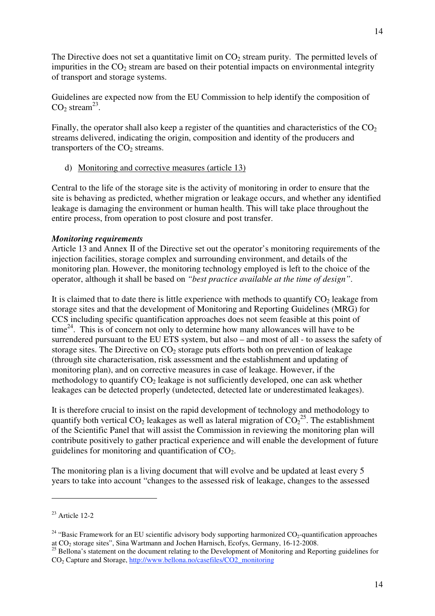The Directive does not set a quantitative limit on  $CO<sub>2</sub>$  stream purity. The permitted levels of impurities in the  $CO<sub>2</sub>$  stream are based on their potential impacts on environmental integrity of transport and storage systems.

Guidelines are expected now from the EU Commission to help identify the composition of  $CO<sub>2</sub> stream<sup>23</sup>$ .

Finally, the operator shall also keep a register of the quantities and characteristics of the  $CO<sub>2</sub>$ streams delivered, indicating the origin, composition and identity of the producers and transporters of the  $CO<sub>2</sub>$  streams.

d) Monitoring and corrective measures (article 13)

Central to the life of the storage site is the activity of monitoring in order to ensure that the site is behaving as predicted, whether migration or leakage occurs, and whether any identified leakage is damaging the environment or human health. This will take place throughout the entire process, from operation to post closure and post transfer.

# *Monitoring requirements*

Article 13 and Annex II of the Directive set out the operator's monitoring requirements of the injection facilities, storage complex and surrounding environment, and details of the monitoring plan. However, the monitoring technology employed is left to the choice of the operator, although it shall be based on *"best practice available at the time of design"*.

It is claimed that to date there is little experience with methods to quantify  $CO<sub>2</sub>$  leakage from storage sites and that the development of Monitoring and Reporting Guidelines (MRG) for CCS including specific quantification approaches does not seem feasible at this point of  $time<sup>24</sup>$ . This is of concern not only to determine how many allowances will have to be surrendered pursuant to the EU ETS system, but also – and most of all - to assess the safety of storage sites. The Directive on  $CO<sub>2</sub>$  storage puts efforts both on prevention of leakage (through site characterisation, risk assessment and the establishment and updating of monitoring plan), and on corrective measures in case of leakage. However, if the methodology to quantify  $CO<sub>2</sub>$  leakage is not sufficiently developed, one can ask whether leakages can be detected properly (undetected, detected late or underestimated leakages).

It is therefore crucial to insist on the rapid development of technology and methodology to quantify both vertical  $CO_2$  leakages as well as lateral migration of  $CO_2^{25}$ . The establishment of the Scientific Panel that will assist the Commission in reviewing the monitoring plan will contribute positively to gather practical experience and will enable the development of future guidelines for monitoring and quantification of  $CO<sub>2</sub>$ .

The monitoring plan is a living document that will evolve and be updated at least every 5 years to take into account "changes to the assessed risk of leakage, changes to the assessed

 $23$  Article 12-2

<sup>&</sup>lt;sup>24</sup> "Basic Framework for an EU scientific advisory body supporting harmonized  $CO_2$ -quantification approaches at CO<sub>2</sub> storage sites", Sina Wartmann and Jochen Harnisch, Ecofys, Germany, 16-12-2008.

<sup>&</sup>lt;sup>25</sup> Bellona's statement on the document relating to the Development of Monitoring and Reporting guidelines for CO2 Capture and Storage, http://www.bellona.no/casefiles/CO2\_monitoring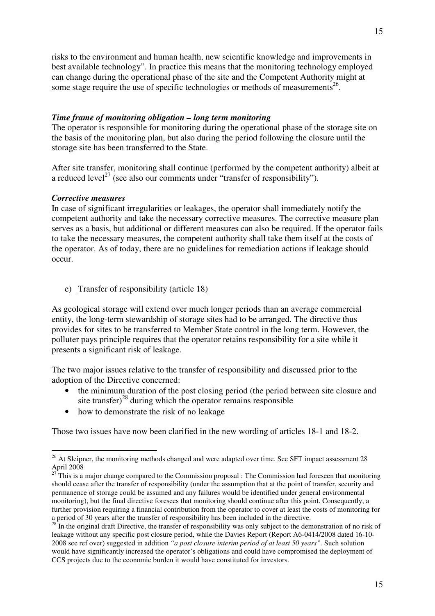risks to the environment and human health, new scientific knowledge and improvements in best available technology". In practice this means that the monitoring technology employed can change during the operational phase of the site and the Competent Authority might at some stage require the use of specific technologies or methods of measurements<sup>26</sup>.

# *Time frame of monitoring obligation – long term monitoring*

The operator is responsible for monitoring during the operational phase of the storage site on the basis of the monitoring plan, but also during the period following the closure until the storage site has been transferred to the State.

After site transfer, monitoring shall continue (performed by the competent authority) albeit at a reduced level<sup>27</sup> (see also our comments under "transfer of responsibility").

# *Corrective measures*

In case of significant irregularities or leakages, the operator shall immediately notify the competent authority and take the necessary corrective measures. The corrective measure plan serves as a basis, but additional or different measures can also be required. If the operator fails to take the necessary measures, the competent authority shall take them itself at the costs of the operator. As of today, there are no guidelines for remediation actions if leakage should occur.

# e) Transfer of responsibility (article 18)

As geological storage will extend over much longer periods than an average commercial entity, the long-term stewardship of storage sites had to be arranged. The directive thus provides for sites to be transferred to Member State control in the long term. However, the polluter pays principle requires that the operator retains responsibility for a site while it presents a significant risk of leakage.

The two major issues relative to the transfer of responsibility and discussed prior to the adoption of the Directive concerned:

- the minimum duration of the post closing period (the period between site closure and site transfer $)^{28}$  during which the operator remains responsible
- how to demonstrate the risk of no leakage

Those two issues have now been clarified in the new wording of articles 18-1 and 18-2.

 $\overline{a}$  $26$  At Sleipner, the monitoring methods changed and were adapted over time. See SFT impact assessment 28 April 2008

<sup>&</sup>lt;sup>27</sup> This is a major change compared to the Commission proposal : The Commission had foreseen that monitoring should cease after the transfer of responsibility (under the assumption that at the point of transfer, security and permanence of storage could be assumed and any failures would be identified under general environmental monitoring), but the final directive foresees that monitoring should continue after this point. Consequently, a further provision requiring a financial contribution from the operator to cover at least the costs of monitoring for a period of 30 years after the transfer of responsibility has been included in the directive.

 $28<sup>28</sup>$  In the original draft Directive, the transfer of responsibility was only subject to the demonstration of no risk of leakage without any specific post closure period, while the Davies Report (Report A6-0414/2008 dated 16-10- 2008 see ref over) suggested in addition *"a post closure interim period of at least 50 years".* Such solution would have significantly increased the operator's obligations and could have compromised the deployment of CCS projects due to the economic burden it would have constituted for investors.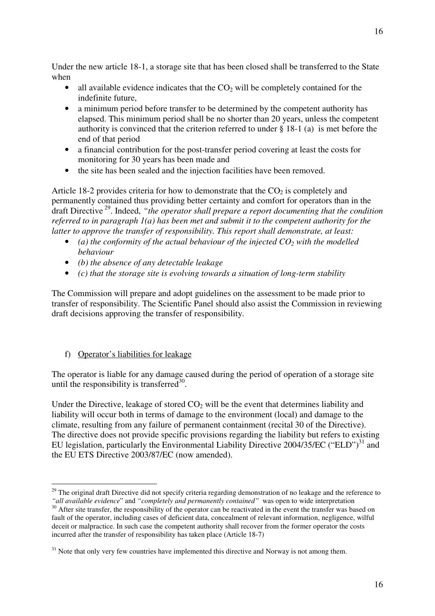Under the new article 18-1, a storage site that has been closed shall be transferred to the State when

- all available evidence indicates that the  $CO<sub>2</sub>$  will be completely contained for the indefinite future,
- a minimum period before transfer to be determined by the competent authority has elapsed. This minimum period shall be no shorter than 20 years, unless the competent authority is convinced that the criterion referred to under § 18-1 (a) is met before the end of that period
- a financial contribution for the post-transfer period covering at least the costs for monitoring for 30 years has been made and
- the site has been sealed and the injection facilities have been removed.

Article 18-2 provides criteria for how to demonstrate that the  $CO<sub>2</sub>$  is completely and permanently contained thus providing better certainty and comfort for operators than in the draft Directive 29. Indeed, *"the operator shall prepare a report documenting that the condition referred to in paragraph 1(a) has been met and submit it to the competent authority for the latter to approve the transfer of responsibility. This report shall demonstrate, at least:*

- (a) the conformity of the actual behaviour of the injected  $CO<sub>2</sub>$  with the modelled *behaviour*
- *(b) the absence of any detectable leakage*
- *(c) that the storage site is evolving towards a situation of long-term stability*

The Commission will prepare and adopt guidelines on the assessment to be made prior to transfer of responsibility. The Scientific Panel should also assist the Commission in reviewing draft decisions approving the transfer of responsibility.

# f) Operator's liabilities for leakage

 $\overline{a}$ 

The operator is liable for any damage caused during the period of operation of a storage site until the responsibility is transferred $^{30}$ .

Under the Directive, leakage of stored  $CO<sub>2</sub>$  will be the event that determines liability and liability will occur both in terms of damage to the environment (local) and damage to the climate, resulting from any failure of permanent containment (recital 30 of the Directive). The directive does not provide specific provisions regarding the liability but refers to existing EU legislation, particularly the Environmental Liability Directive 2004/35/EC ("ELD")<sup>31</sup> and the EU ETS Directive 2003/87/EC (now amended).

 $29$  The original draft Directive did not specify criteria regarding demonstration of no leakage and the reference to

<sup>&</sup>quot;all available evidence" and "completely and permanently contained" was open to wide interpretation <sup>30</sup> After site transfer, the responsibility of the operator can be reactivated in the event the transfer was based on fault of the operator, including cases of deficient data, concealment of relevant information, negligence, wilful deceit or malpractice. In such case the competent authority shall recover from the former operator the costs incurred after the transfer of responsibility has taken place (Article 18-7)

<sup>&</sup>lt;sup>31</sup> Note that only very few countries have implemented this directive and Norway is not among them.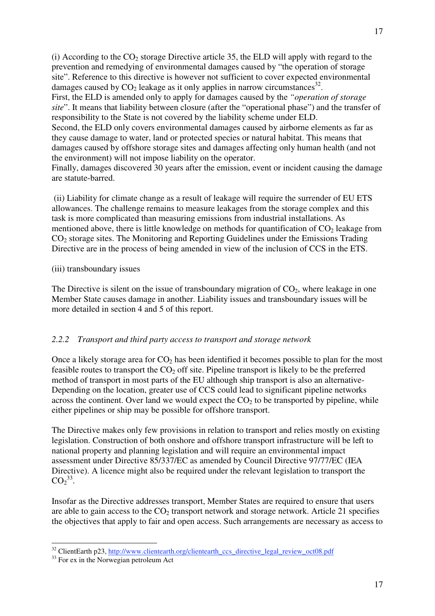(i) According to the  $CO<sub>2</sub>$  storage Directive article 35, the ELD will apply with regard to the prevention and remedying of environmental damages caused by "the operation of storage site". Reference to this directive is however not sufficient to cover expected environmental damages caused by  $CO<sub>2</sub>$  leakage as it only applies in narrow circumstances<sup>32</sup>. First, the ELD is amended only to apply for damages caused by the *"operation of storage site*". It means that liability between closure (after the "operational phase") and the transfer of responsibility to the State is not covered by the liability scheme under ELD. Second, the ELD only covers environmental damages caused by airborne elements as far as they cause damage to water, land or protected species or natural habitat. This means that damages caused by offshore storage sites and damages affecting only human health (and not the environment) will not impose liability on the operator.

Finally, damages discovered 30 years after the emission, event or incident causing the damage are statute-barred.

 (ii) Liability for climate change as a result of leakage will require the surrender of EU ETS allowances. The challenge remains to measure leakages from the storage complex and this task is more complicated than measuring emissions from industrial installations. As mentioned above, there is little knowledge on methods for quantification of  $CO<sub>2</sub>$  leakage from CO2 storage sites. The Monitoring and Reporting Guidelines under the Emissions Trading Directive are in the process of being amended in view of the inclusion of CCS in the ETS.

# (iii) transboundary issues

The Directive is silent on the issue of transboundary migration of  $CO<sub>2</sub>$ , where leakage in one Member State causes damage in another. Liability issues and transboundary issues will be more detailed in section 4 and 5 of this report.

# *2.2.2 Transport and third party access to transport and storage network*

Once a likely storage area for  $CO<sub>2</sub>$  has been identified it becomes possible to plan for the most feasible routes to transport the  $CO<sub>2</sub>$  off site. Pipeline transport is likely to be the preferred method of transport in most parts of the EU although ship transport is also an alternative-Depending on the location, greater use of CCS could lead to significant pipeline networks across the continent. Over land we would expect the  $CO<sub>2</sub>$  to be transported by pipeline, while either pipelines or ship may be possible for offshore transport.

The Directive makes only few provisions in relation to transport and relies mostly on existing legislation. Construction of both onshore and offshore transport infrastructure will be left to national property and planning legislation and will require an environmental impact assessment under Directive 85/337/EC as amended by Council Directive 97/77/EC (IEA Directive). A licence might also be required under the relevant legislation to transport the  $CO<sub>2</sub><sup>33</sup>$ .

Insofar as the Directive addresses transport, Member States are required to ensure that users are able to gain access to the  $CO<sub>2</sub>$  transport network and storage network. Article 21 specifies the objectives that apply to fair and open access. Such arrangements are necessary as access to

 $32$  ClientEarth p23, http://www.clientearth.org/clientearth\_ccs\_directive\_legal\_review\_oct08.pdf  $33$  For ex in the Norwegian petroleum Act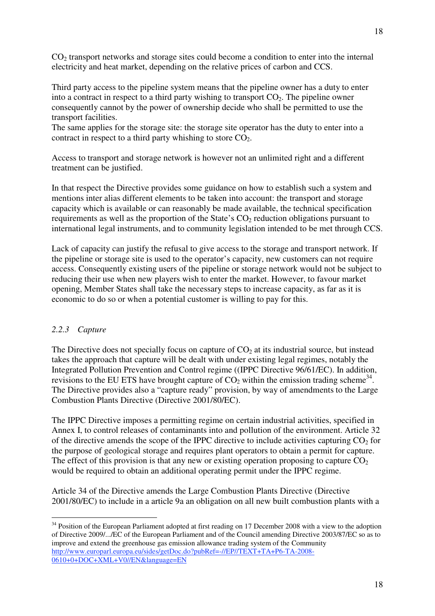CO<sub>2</sub> transport networks and storage sites could become a condition to enter into the internal electricity and heat market, depending on the relative prices of carbon and CCS.

Third party access to the pipeline system means that the pipeline owner has a duty to enter into a contract in respect to a third party wishing to transport  $CO<sub>2</sub>$ . The pipeline owner consequently cannot by the power of ownership decide who shall be permitted to use the transport facilities.

The same applies for the storage site: the storage site operator has the duty to enter into a contract in respect to a third party whishing to store  $CO<sub>2</sub>$ .

Access to transport and storage network is however not an unlimited right and a different treatment can be justified.

In that respect the Directive provides some guidance on how to establish such a system and mentions inter alias different elements to be taken into account: the transport and storage capacity which is available or can reasonably be made available, the technical specification requirements as well as the proportion of the State's  $CO<sub>2</sub>$  reduction obligations pursuant to international legal instruments, and to community legislation intended to be met through CCS.

Lack of capacity can justify the refusal to give access to the storage and transport network. If the pipeline or storage site is used to the operator's capacity, new customers can not require access. Consequently existing users of the pipeline or storage network would not be subject to reducing their use when new players wish to enter the market. However, to favour market opening, Member States shall take the necessary steps to increase capacity, as far as it is economic to do so or when a potential customer is willing to pay for this.

# *2.2.3 Capture*

 $\overline{a}$ 

The Directive does not specially focus on capture of  $CO<sub>2</sub>$  at its industrial source, but instead takes the approach that capture will be dealt with under existing legal regimes, notably the Integrated Pollution Prevention and Control regime ((IPPC Directive 96/61/EC). In addition, revisions to the EU ETS have brought capture of  $CO<sub>2</sub>$  within the emission trading scheme<sup>34</sup>. The Directive provides also a "capture ready" provision, by way of amendments to the Large Combustion Plants Directive (Directive 2001/80/EC).

The IPPC Directive imposes a permitting regime on certain industrial activities, specified in Annex I, to control releases of contaminants into and pollution of the environment. Article 32 of the directive amends the scope of the IPPC directive to include activities capturing  $CO<sub>2</sub>$  for the purpose of geological storage and requires plant operators to obtain a permit for capture. The effect of this provision is that any new or existing operation proposing to capture  $CO<sub>2</sub>$ would be required to obtain an additional operating permit under the IPPC regime.

Article 34 of the Directive amends the Large Combustion Plants Directive (Directive 2001/80/EC) to include in a article 9a an obligation on all new built combustion plants with a

<sup>&</sup>lt;sup>34</sup> Position of the European Parliament adopted at first reading on 17 December 2008 with a view to the adoption of Directive 2009/.../EC of the European Parliament and of the Council amending Directive 2003/87/EC so as to improve and extend the greenhouse gas emission allowance trading system of the Community http://www.europarl.europa.eu/sides/getDoc.do?pubRef=-//EP//TEXT+TA+P6-TA-2008- 0610+0+DOC+XML+V0//EN&language=EN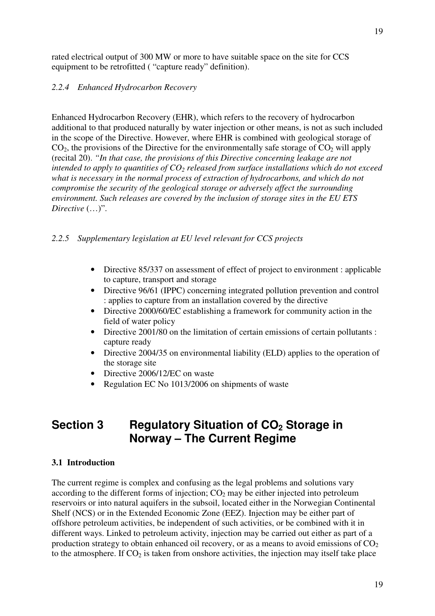rated electrical output of 300 MW or more to have suitable space on the site for CCS equipment to be retrofitted ( "capture ready" definition).

# *2.2.4 Enhanced Hydrocarbon Recovery*

Enhanced Hydrocarbon Recovery (EHR), which refers to the recovery of hydrocarbon additional to that produced naturally by water injection or other means, is not as such included in the scope of the Directive. However, where EHR is combined with geological storage of  $CO<sub>2</sub>$ , the provisions of the Directive for the environmentally safe storage of  $CO<sub>2</sub>$  will apply (recital 20). *"In that case, the provisions of this Directive concerning leakage are not intended to apply to quantities of CO2 released from surface installations which do not exceed what is necessary in the normal process of extraction of hydrocarbons, and which do not compromise the security of the geological storage or adversely affect the surrounding environment. Such releases are covered by the inclusion of storage sites in the EU ETS Directive* (…)".

# *2.2.5 Supplementary legislation at EU level relevant for CCS projects*

- Directive 85/337 on assessment of effect of project to environment : applicable to capture, transport and storage
- Directive 96/61 (IPPC) concerning integrated pollution prevention and control : applies to capture from an installation covered by the directive
- Directive 2000/60/EC establishing a framework for community action in the field of water policy
- Directive 2001/80 on the limitation of certain emissions of certain pollutants : capture ready
- Directive 2004/35 on environmental liability (ELD) applies to the operation of the storage site
- Directive 2006/12/EC on waste
- Regulation EC No 1013/2006 on shipments of waste

# Section 3 Regulatory Situation of CO<sub>2</sub> Storage in **Norway – The Current Regime**

# **3.1 Introduction**

The current regime is complex and confusing as the legal problems and solutions vary according to the different forms of injection;  $CO<sub>2</sub>$  may be either injected into petroleum reservoirs or into natural aquifers in the subsoil, located either in the Norwegian Continental Shelf (NCS) or in the Extended Economic Zone (EEZ). Injection may be either part of offshore petroleum activities, be independent of such activities, or be combined with it in different ways. Linked to petroleum activity, injection may be carried out either as part of a production strategy to obtain enhanced oil recovery, or as a means to avoid emissions of  $CO<sub>2</sub>$ to the atmosphere. If  $CO<sub>2</sub>$  is taken from onshore activities, the injection may itself take place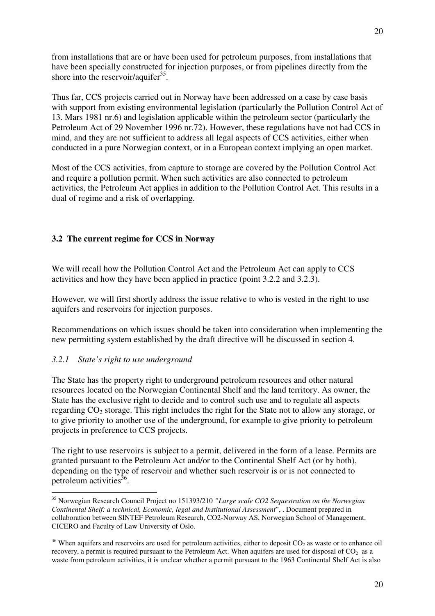from installations that are or have been used for petroleum purposes, from installations that have been specially constructed for injection purposes, or from pipelines directly from the shore into the reservoir/aquifer $^{35}$ .

Thus far, CCS projects carried out in Norway have been addressed on a case by case basis with support from existing environmental legislation (particularly the Pollution Control Act of 13. Mars 1981 nr.6) and legislation applicable within the petroleum sector (particularly the Petroleum Act of 29 November 1996 nr.72). However, these regulations have not had CCS in mind, and they are not sufficient to address all legal aspects of CCS activities, either when conducted in a pure Norwegian context, or in a European context implying an open market.

Most of the CCS activities, from capture to storage are covered by the Pollution Control Act and require a pollution permit. When such activities are also connected to petroleum activities, the Petroleum Act applies in addition to the Pollution Control Act. This results in a dual of regime and a risk of overlapping.

# **3.2 The current regime for CCS in Norway**

We will recall how the Pollution Control Act and the Petroleum Act can apply to CCS activities and how they have been applied in practice (point 3.2.2 and 3.2.3).

However, we will first shortly address the issue relative to who is vested in the right to use aquifers and reservoirs for injection purposes.

Recommendations on which issues should be taken into consideration when implementing the new permitting system established by the draft directive will be discussed in section 4.

# *3.2.1 State's right to use underground*

 $\overline{a}$ 

The State has the property right to underground petroleum resources and other natural resources located on the Norwegian Continental Shelf and the land territory. As owner, the State has the exclusive right to decide and to control such use and to regulate all aspects regarding CO2 storage. This right includes the right for the State not to allow any storage, or to give priority to another use of the underground, for example to give priority to petroleum projects in preference to CCS projects.

The right to use reservoirs is subject to a permit, delivered in the form of a lease. Permits are granted pursuant to the Petroleum Act and/or to the Continental Shelf Act (or by both), depending on the type of reservoir and whether such reservoir is or is not connected to petroleum activities $36$ .

<sup>35</sup> Norwegian Research Council Project no 151393/210 *"Large scale CO2 Sequestration on the Norwegian Continental Shelf: a technical, Economic, legal and Institutional Assessment*", . Document prepared in collaboration between SINTEF Petroleum Research, CO2-Norway AS, Norwegian School of Management, CICERO and Faculty of Law University of Oslo.

 $36$  When aquifers and reservoirs are used for petroleum activities, either to deposit  $CO_2$  as waste or to enhance oil recovery, a permit is required pursuant to the Petroleum Act. When aquifers are used for disposal of  $CO<sub>2</sub>$  as a waste from petroleum activities, it is unclear whether a permit pursuant to the 1963 Continental Shelf Act is also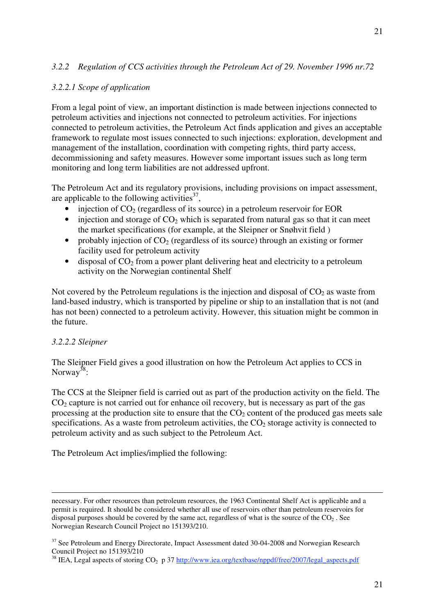# *3.2.2 Regulation of CCS activities through the Petroleum Act of 29. November 1996 nr.72*

# *3.2.2.1 Scope of application*

From a legal point of view, an important distinction is made between injections connected to petroleum activities and injections not connected to petroleum activities. For injections connected to petroleum activities, the Petroleum Act finds application and gives an acceptable framework to regulate most issues connected to such injections: exploration, development and management of the installation, coordination with competing rights, third party access, decommissioning and safety measures. However some important issues such as long term monitoring and long term liabilities are not addressed upfront.

The Petroleum Act and its regulatory provisions, including provisions on impact assessment, are applicable to the following activities $3^7$ ,

- injection of  $CO<sub>2</sub>$  (regardless of its source) in a petroleum reservoir for EOR
- injection and storage of  $CO<sub>2</sub>$  which is separated from natural gas so that it can meet the market specifications (for example, at the Sleipner or Snøhvit field )
- probably injection of  $CO<sub>2</sub>$  (regardless of its source) through an existing or former facility used for petroleum activity
- $\bullet$  disposal of CO<sub>2</sub> from a power plant delivering heat and electricity to a petroleum activity on the Norwegian continental Shelf

Not covered by the Petroleum regulations is the injection and disposal of  $CO<sub>2</sub>$  as waste from land-based industry, which is transported by pipeline or ship to an installation that is not (and has not been) connected to a petroleum activity. However, this situation might be common in the future.

# *3.2.2.2 Sleipner*

 $\overline{a}$ 

The Sleipner Field gives a good illustration on how the Petroleum Act applies to CCS in Norway<sup>38</sup>:

The CCS at the Sleipner field is carried out as part of the production activity on the field. The  $CO<sub>2</sub>$  capture is not carried out for enhance oil recovery, but is necessary as part of the gas processing at the production site to ensure that the  $CO<sub>2</sub>$  content of the produced gas meets sale specifications. As a waste from petroleum activities, the  $CO<sub>2</sub>$  storage activity is connected to petroleum activity and as such subject to the Petroleum Act.

The Petroleum Act implies/implied the following:

necessary. For other resources than petroleum resources, the 1963 Continental Shelf Act is applicable and a permit is required. It should be considered whether all use of reservoirs other than petroleum reservoirs for disposal purposes should be covered by the same act, regardless of what is the source of the  $CO<sub>2</sub>$ . See Norwegian Research Council Project no 151393/210.

<sup>&</sup>lt;sup>37</sup> See Petroleum and Energy Directorate, Impact Assessment dated 30-04-2008 and Norwegian Research Council Project no 151393/210

<sup>&</sup>lt;sup>38</sup> IEA, Legal aspects of storing CO<sub>2</sub> p 37 http://www.iea.org/textbase/nppdf/free/2007/legal\_aspects.pdf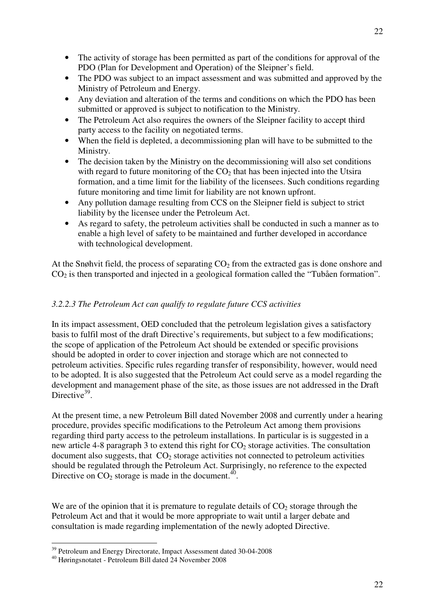22

- The activity of storage has been permitted as part of the conditions for approval of the PDO (Plan for Development and Operation) of the Sleipner's field.
- The PDO was subject to an impact assessment and was submitted and approved by the Ministry of Petroleum and Energy.
- Any deviation and alteration of the terms and conditions on which the PDO has been submitted or approved is subject to notification to the Ministry.
- The Petroleum Act also requires the owners of the Sleipner facility to accept third party access to the facility on negotiated terms.
- When the field is depleted, a decommissioning plan will have to be submitted to the Ministry.
- The decision taken by the Ministry on the decommissioning will also set conditions with regard to future monitoring of the  $CO<sub>2</sub>$  that has been injected into the Utsira formation, and a time limit for the liability of the licensees. Such conditions regarding future monitoring and time limit for liability are not known upfront.
- Any pollution damage resulting from CCS on the Sleipner field is subject to strict liability by the licensee under the Petroleum Act.
- As regard to safety, the petroleum activities shall be conducted in such a manner as to enable a high level of safety to be maintained and further developed in accordance with technological development.

At the Snøhvit field, the process of separating  $CO<sub>2</sub>$  from the extracted gas is done onshore and CO2 is then transported and injected in a geological formation called the "Tubåen formation".

# *3.2.2.3 The Petroleum Act can qualify to regulate future CCS activities*

In its impact assessment, OED concluded that the petroleum legislation gives a satisfactory basis to fulfil most of the draft Directive's requirements, but subject to a few modifications; the scope of application of the Petroleum Act should be extended or specific provisions should be adopted in order to cover injection and storage which are not connected to petroleum activities. Specific rules regarding transfer of responsibility, however, would need to be adopted. It is also suggested that the Petroleum Act could serve as a model regarding the development and management phase of the site, as those issues are not addressed in the Draft Directive $39$ .

At the present time, a new Petroleum Bill dated November 2008 and currently under a hearing procedure, provides specific modifications to the Petroleum Act among them provisions regarding third party access to the petroleum installations. In particular is is suggested in a new article 4-8 paragraph 3 to extend this right for  $CO<sub>2</sub>$  storage activities. The consultation document also suggests, that  $CO<sub>2</sub>$  storage activities not connected to petroleum activities should be regulated through the Petroleum Act. Surprisingly, no reference to the expected Directive on  $CO_2$  storage is made in the document.<sup>40</sup>.

We are of the opinion that it is premature to regulate details of  $CO<sub>2</sub>$  storage through the Petroleum Act and that it would be more appropriate to wait until a larger debate and consultation is made regarding implementation of the newly adopted Directive.

<sup>&</sup>lt;sup>39</sup> Petroleum and Energy Directorate, Impact Assessment dated 30-04-2008<br><sup>40</sup> Høringsnotatet - Petroleum Bill dated 24 November 2008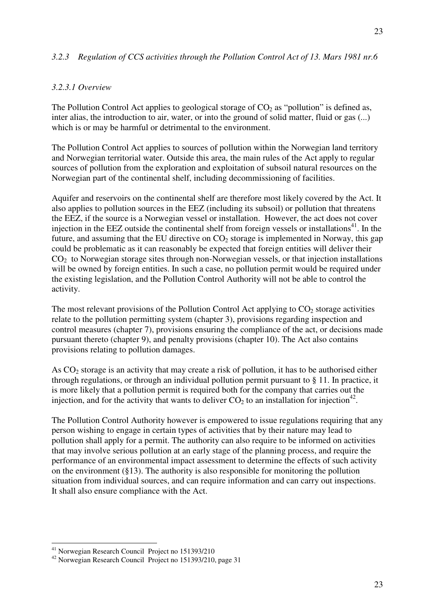# *3.2.3 Regulation of CCS activities through the Pollution Control Act of 13. Mars 1981 nr.6*

#### *3.2.3.1 Overview*

The Pollution Control Act applies to geological storage of  $CO<sub>2</sub>$  as "pollution" is defined as, inter alias, the introduction to air, water, or into the ground of solid matter, fluid or gas (...) which is or may be harmful or detrimental to the environment.

The Pollution Control Act applies to sources of pollution within the Norwegian land territory and Norwegian territorial water. Outside this area, the main rules of the Act apply to regular sources of pollution from the exploration and exploitation of subsoil natural resources on the Norwegian part of the continental shelf, including decommissioning of facilities.

Aquifer and reservoirs on the continental shelf are therefore most likely covered by the Act. It also applies to pollution sources in the EEZ (including its subsoil) or pollution that threatens the EEZ, if the source is a Norwegian vessel or installation. However, the act does not cover injection in the EEZ outside the continental shelf from foreign vessels or installations $41$ . In the future, and assuming that the EU directive on  $CO<sub>2</sub>$  storage is implemented in Norway, this gap could be problematic as it can reasonably be expected that foreign entities will deliver their  $CO<sub>2</sub>$  to Norwegian storage sites through non-Norwegian vessels, or that injection installations will be owned by foreign entities. In such a case, no pollution permit would be required under the existing legislation, and the Pollution Control Authority will not be able to control the activity.

The most relevant provisions of the Pollution Control Act applying to  $CO<sub>2</sub>$  storage activities relate to the pollution permitting system (chapter 3), provisions regarding inspection and control measures (chapter 7), provisions ensuring the compliance of the act, or decisions made pursuant thereto (chapter 9), and penalty provisions (chapter 10). The Act also contains provisions relating to pollution damages.

As  $CO<sub>2</sub>$  storage is an activity that may create a risk of pollution, it has to be authorised either through regulations, or through an individual pollution permit pursuant to § 11. In practice, it is more likely that a pollution permit is required both for the company that carries out the injection, and for the activity that wants to deliver  $CO<sub>2</sub>$  to an installation for injection<sup>42</sup>.

The Pollution Control Authority however is empowered to issue regulations requiring that any person wishing to engage in certain types of activities that by their nature may lead to pollution shall apply for a permit. The authority can also require to be informed on activities that may involve serious pollution at an early stage of the planning process, and require the performance of an environmental impact assessment to determine the effects of such activity on the environment (§13). The authority is also responsible for monitoring the pollution situation from individual sources, and can require information and can carry out inspections. It shall also ensure compliance with the Act.

<sup>41</sup> Norwegian Research Council Project no 151393/210

<sup>42</sup> Norwegian Research Council Project no 151393/210, page 31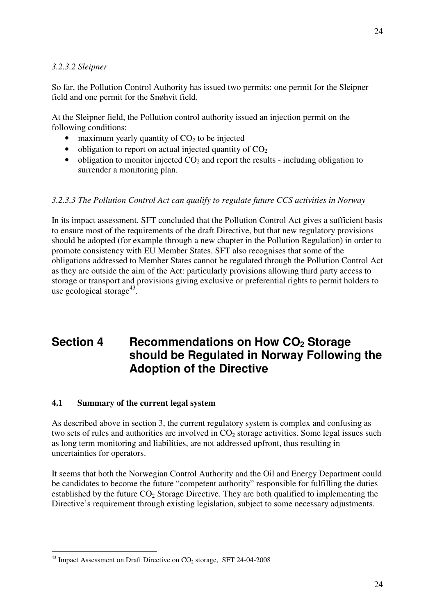#### *3.2.3.2 Sleipner*

So far, the Pollution Control Authority has issued two permits: one permit for the Sleipner field and one permit for the Snøhvit field.

At the Sleipner field, the Pollution control authority issued an injection permit on the following conditions:

- maximum yearly quantity of  $CO<sub>2</sub>$  to be injected
- obligation to report on actual injected quantity of  $CO<sub>2</sub>$
- obligation to monitor injected  $CO<sub>2</sub>$  and report the results including obligation to surrender a monitoring plan.

#### *3.2.3.3 The Pollution Control Act can qualify to regulate future CCS activities in Norway*

In its impact assessment, SFT concluded that the Pollution Control Act gives a sufficient basis to ensure most of the requirements of the draft Directive, but that new regulatory provisions should be adopted (for example through a new chapter in the Pollution Regulation) in order to promote consistency with EU Member States. SFT also recognises that some of the obligations addressed to Member States cannot be regulated through the Pollution Control Act as they are outside the aim of the Act: particularly provisions allowing third party access to storage or transport and provisions giving exclusive or preferential rights to permit holders to use geological storage<sup>43</sup>.

# **Section 4 Recommendations on How CO<sub>2</sub> Storage should be Regulated in Norway Following the Adoption of the Directive**

#### **4.1 Summary of the current legal system**

As described above in section 3, the current regulatory system is complex and confusing as two sets of rules and authorities are involved in  $CO<sub>2</sub>$  storage activities. Some legal issues such as long term monitoring and liabilities, are not addressed upfront, thus resulting in uncertainties for operators.

It seems that both the Norwegian Control Authority and the Oil and Energy Department could be candidates to become the future "competent authority" responsible for fulfilling the duties established by the future  $CO<sub>2</sub>$  Storage Directive. They are both qualified to implementing the Directive's requirement through existing legislation, subject to some necessary adjustments.

 $^{43}$  Impact Assessment on Draft Directive on CO<sub>2</sub> storage, SFT 24-04-2008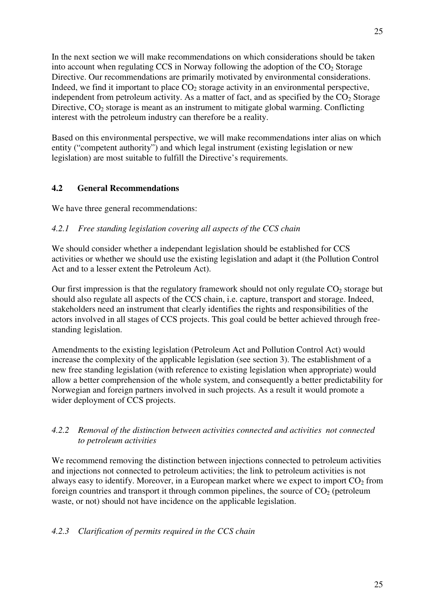In the next section we will make recommendations on which considerations should be taken into account when regulating CCS in Norway following the adoption of the  $CO<sub>2</sub>$  Storage Directive. Our recommendations are primarily motivated by environmental considerations. Indeed, we find it important to place  $CO<sub>2</sub>$  storage activity in an environmental perspective, independent from petroleum activity. As a matter of fact, and as specified by the  $CO<sub>2</sub>$  Storage Directive,  $CO<sub>2</sub>$  storage is meant as an instrument to mitigate global warming. Conflicting interest with the petroleum industry can therefore be a reality.

Based on this environmental perspective, we will make recommendations inter alias on which entity ("competent authority") and which legal instrument (existing legislation or new legislation) are most suitable to fulfill the Directive's requirements.

# **4.2 General Recommendations**

We have three general recommendations:

# *4.2.1 Free standing legislation covering all aspects of the CCS chain*

We should consider whether a independant legislation should be established for CCS activities or whether we should use the existing legislation and adapt it (the Pollution Control Act and to a lesser extent the Petroleum Act).

Our first impression is that the regulatory framework should not only regulate  $CO<sub>2</sub>$  storage but should also regulate all aspects of the CCS chain, i.e. capture, transport and storage. Indeed, stakeholders need an instrument that clearly identifies the rights and responsibilities of the actors involved in all stages of CCS projects. This goal could be better achieved through freestanding legislation.

Amendments to the existing legislation (Petroleum Act and Pollution Control Act) would increase the complexity of the applicable legislation (see section 3). The establishment of a new free standing legislation (with reference to existing legislation when appropriate) would allow a better comprehension of the whole system, and consequently a better predictability for Norwegian and foreign partners involved in such projects. As a result it would promote a wider deployment of CCS projects.

# *4.2.2 Removal of the distinction between activities connected and activities not connected to petroleum activities*

We recommend removing the distinction between injections connected to petroleum activities and injections not connected to petroleum activities; the link to petroleum activities is not always easy to identify. Moreover, in a European market where we expect to import  $CO<sub>2</sub>$  from foreign countries and transport it through common pipelines, the source of  $CO<sub>2</sub>$  (petroleum waste, or not) should not have incidence on the applicable legislation.

# *4.2.3 Clarification of permits required in the CCS chain*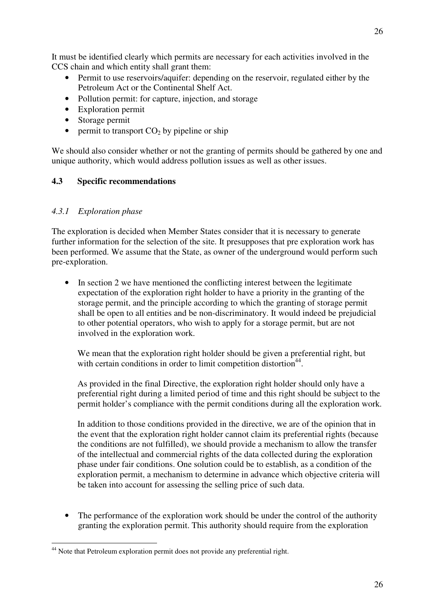It must be identified clearly which permits are necessary for each activities involved in the CCS chain and which entity shall grant them:

- Permit to use reservoirs/aquifer: depending on the reservoir, regulated either by the Petroleum Act or the Continental Shelf Act.
- Pollution permit: for capture, injection, and storage
- Exploration permit
- Storage permit
- permit to transport  $CO<sub>2</sub>$  by pipeline or ship

We should also consider whether or not the granting of permits should be gathered by one and unique authority, which would address pollution issues as well as other issues.

# **4.3 Specific recommendations**

# *4.3.1 Exploration phase*

The exploration is decided when Member States consider that it is necessary to generate further information for the selection of the site. It presupposes that pre exploration work has been performed. We assume that the State, as owner of the underground would perform such pre-exploration.

• In section 2 we have mentioned the conflicting interest between the legitimate expectation of the exploration right holder to have a priority in the granting of the storage permit, and the principle according to which the granting of storage permit shall be open to all entities and be non-discriminatory. It would indeed be prejudicial to other potential operators, who wish to apply for a storage permit, but are not involved in the exploration work.

We mean that the exploration right holder should be given a preferential right, but with certain conditions in order to limit competition distortion<sup>44</sup>.

As provided in the final Directive, the exploration right holder should only have a preferential right during a limited period of time and this right should be subject to the permit holder's compliance with the permit conditions during all the exploration work.

In addition to those conditions provided in the directive, we are of the opinion that in the event that the exploration right holder cannot claim its preferential rights (because the conditions are not fulfilled), we should provide a mechanism to allow the transfer of the intellectual and commercial rights of the data collected during the exploration phase under fair conditions. One solution could be to establish, as a condition of the exploration permit, a mechanism to determine in advance which objective criteria will be taken into account for assessing the selling price of such data.

The performance of the exploration work should be under the control of the authority granting the exploration permit. This authority should require from the exploration

 $\overline{a}$ <sup>44</sup> Note that Petroleum exploration permit does not provide any preferential right.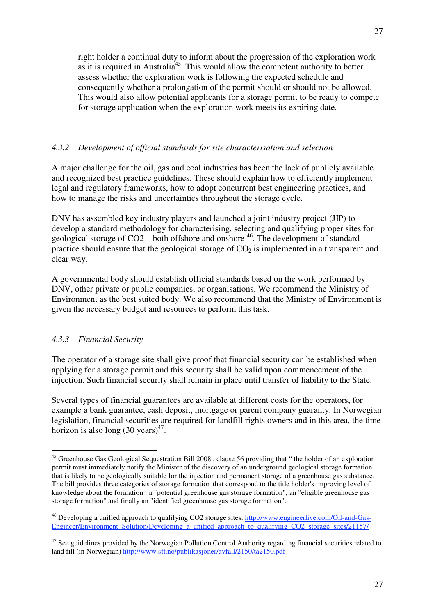right holder a continual duty to inform about the progression of the exploration work as it is required in Australia<sup>45</sup>. This would allow the competent authority to better assess whether the exploration work is following the expected schedule and consequently whether a prolongation of the permit should or should not be allowed. This would also allow potential applicants for a storage permit to be ready to compete for storage application when the exploration work meets its expiring date.

# *4.3.2 Development of official standards for site characterisation and selection*

A major challenge for the oil, gas and coal industries has been the lack of publicly available and recognized best practice guidelines. These should explain how to efficiently implement legal and regulatory frameworks, how to adopt concurrent best engineering practices, and how to manage the risks and uncertainties throughout the storage cycle.

DNV has assembled key industry players and launched a joint industry project (JIP) to develop a standard methodology for characterising, selecting and qualifying proper sites for geological storage of  $CO2 -$  both offshore and onshore  $^{46}$ . The development of standard practice should ensure that the geological storage of  $CO<sub>2</sub>$  is implemented in a transparent and clear way.

A governmental body should establish official standards based on the work performed by DNV, other private or public companies, or organisations. We recommend the Ministry of Environment as the best suited body. We also recommend that the Ministry of Environment is given the necessary budget and resources to perform this task.

# *4.3.3 Financial Security*

The operator of a storage site shall give proof that financial security can be established when applying for a storage permit and this security shall be valid upon commencement of the injection. Such financial security shall remain in place until transfer of liability to the State.

Several types of financial guarantees are available at different costs for the operators, for example a bank guarantee, cash deposit, mortgage or parent company guaranty. In Norwegian legislation, financial securities are required for landfill rights owners and in this area, the time horizon is also long  $(30 \text{ years})^{47}$ .

 $\overline{a}$ <sup>45</sup> Greenhouse Gas Geological Sequestration Bill 2008, clause 56 providing that " the holder of an exploration permit must immediately notify the Minister of the discovery of an underground geological storage formation that is likely to be geologically suitable for the injection and permanent storage of a greenhouse gas substance. The bill provides three categories of storage formation that correspond to the title holder's improving level of knowledge about the formation : a "potential greenhouse gas storage formation", an "eligible greenhouse gas storage formation" and finally an "identified greenhouse gas storage formation".

<sup>&</sup>lt;sup>46</sup> Developing a unified approach to qualifying CO2 storage sites: http://www.engineerlive.com/Oil-and-Gas-Engineer/Environment Solution/Developing a unified approach to qualifying CO2 storage sites/21157/

 $47$  See guidelines provided by the Norwegian Pollution Control Authority regarding financial securities related to land fill (in Norwegian) http://www.sft.no/publikasjoner/avfall/2150/ta2150.pdf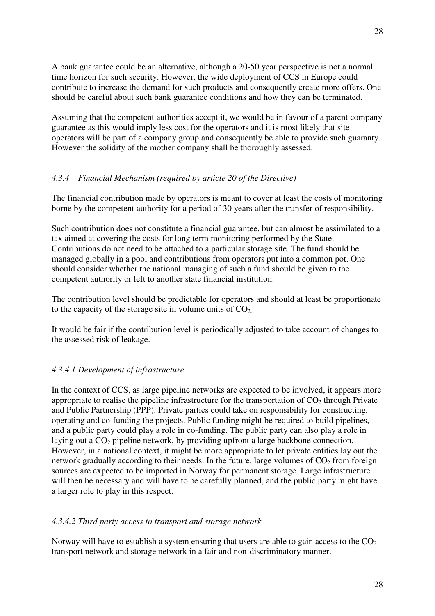A bank guarantee could be an alternative, although a 20-50 year perspective is not a normal time horizon for such security. However, the wide deployment of CCS in Europe could contribute to increase the demand for such products and consequently create more offers. One should be careful about such bank guarantee conditions and how they can be terminated.

Assuming that the competent authorities accept it, we would be in favour of a parent company guarantee as this would imply less cost for the operators and it is most likely that site operators will be part of a company group and consequently be able to provide such guaranty. However the solidity of the mother company shall be thoroughly assessed.

# *4.3.4 Financial Mechanism (required by article 20 of the Directive)*

The financial contribution made by operators is meant to cover at least the costs of monitoring borne by the competent authority for a period of 30 years after the transfer of responsibility.

Such contribution does not constitute a financial guarantee, but can almost be assimilated to a tax aimed at covering the costs for long term monitoring performed by the State. Contributions do not need to be attached to a particular storage site. The fund should be managed globally in a pool and contributions from operators put into a common pot. One should consider whether the national managing of such a fund should be given to the competent authority or left to another state financial institution.

The contribution level should be predictable for operators and should at least be proportionate to the capacity of the storage site in volume units of  $CO<sub>2</sub>$ .

It would be fair if the contribution level is periodically adjusted to take account of changes to the assessed risk of leakage.

# *4.3.4.1 Development of infrastructure*

In the context of CCS, as large pipeline networks are expected to be involved, it appears more appropriate to realise the pipeline infrastructure for the transportation of  $CO<sub>2</sub>$  through Private and Public Partnership (PPP). Private parties could take on responsibility for constructing, operating and co-funding the projects. Public funding might be required to build pipelines, and a public party could play a role in co-funding. The public party can also play a role in laying out a  $CO<sub>2</sub>$  pipeline network, by providing upfront a large backbone connection. However, in a national context, it might be more appropriate to let private entities lay out the network gradually according to their needs. In the future, large volumes of  $CO<sub>2</sub>$  from foreign sources are expected to be imported in Norway for permanent storage. Large infrastructure will then be necessary and will have to be carefully planned, and the public party might have a larger role to play in this respect.

# *4.3.4.2 Third party access to transport and storage network*

Norway will have to establish a system ensuring that users are able to gain access to the  $CO<sub>2</sub>$ transport network and storage network in a fair and non-discriminatory manner.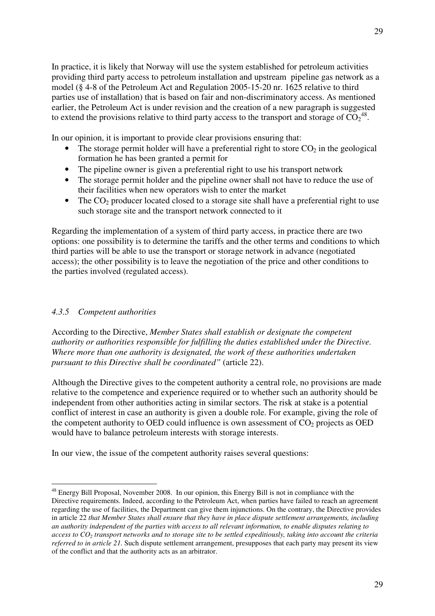In practice, it is likely that Norway will use the system established for petroleum activities providing third party access to petroleum installation and upstream pipeline gas network as a model (§ 4-8 of the Petroleum Act and Regulation 2005-15-20 nr. 1625 relative to third parties use of installation) that is based on fair and non-discriminatory access. As mentioned earlier, the Petroleum Act is under revision and the creation of a new paragraph is suggested to extend the provisions relative to third party access to the transport and storage of  $CO<sub>2</sub><sup>48</sup>$ .

In our opinion, it is important to provide clear provisions ensuring that:

- The storage permit holder will have a preferential right to store  $CO<sub>2</sub>$  in the geological formation he has been granted a permit for
- The pipeline owner is given a preferential right to use his transport network
- The storage permit holder and the pipeline owner shall not have to reduce the use of their facilities when new operators wish to enter the market
- The  $CO<sub>2</sub>$  producer located closed to a storage site shall have a preferential right to use such storage site and the transport network connected to it

Regarding the implementation of a system of third party access, in practice there are two options: one possibility is to determine the tariffs and the other terms and conditions to which third parties will be able to use the transport or storage network in advance (negotiated access); the other possibility is to leave the negotiation of the price and other conditions to the parties involved (regulated access).

# *4.3.5 Competent authorities*

 $\overline{a}$ 

According to the Directive, *Member States shall establish or designate the competent authority or authorities responsible for fulfilling the duties established under the Directive. Where more than one authority is designated, the work of these authorities undertaken pursuant to this Directive shall be coordinated"* (article 22).

Although the Directive gives to the competent authority a central role, no provisions are made relative to the competence and experience required or to whether such an authority should be independent from other authorities acting in similar sectors. The risk at stake is a potential conflict of interest in case an authority is given a double role. For example, giving the role of the competent authority to OED could influence is own assessment of  $CO<sub>2</sub>$  projects as OED would have to balance petroleum interests with storage interests.

In our view, the issue of the competent authority raises several questions:

<sup>&</sup>lt;sup>48</sup> Energy Bill Proposal, November 2008. In our opinion, this Energy Bill is not in compliance with the Directive requirements. Indeed, according to the Petroleum Act, when parties have failed to reach an agreement regarding the use of facilities, the Department can give them injunctions. On the contrary, the Directive provides in article 22 *that Member States shall ensure that they have in place dispute settlement arrangements, including an authority independent of the parties with access to all relevant information, to enable disputes relating to access to CO2 transport networks and to storage site to be settled expeditiously, taking into account the criteria referred to in article 21.* Such dispute settlement arrangement, presupposes that each party may present its view of the conflict and that the authority acts as an arbitrator.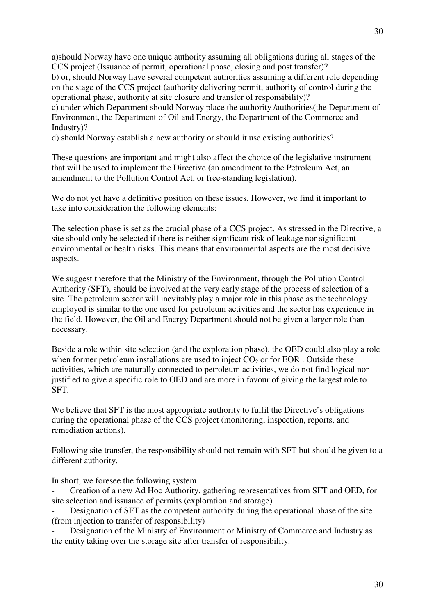a)should Norway have one unique authority assuming all obligations during all stages of the CCS project (Issuance of permit, operational phase, closing and post transfer)? b) or, should Norway have several competent authorities assuming a different role depending on the stage of the CCS project (authority delivering permit, authority of control during the operational phase, authority at site closure and transfer of responsibility)? c) under which Department should Norway place the authority /authorities(the Department of

Environment, the Department of Oil and Energy, the Department of the Commerce and Industry)?

d) should Norway establish a new authority or should it use existing authorities?

These questions are important and might also affect the choice of the legislative instrument that will be used to implement the Directive (an amendment to the Petroleum Act, an amendment to the Pollution Control Act, or free-standing legislation).

We do not yet have a definitive position on these issues. However, we find it important to take into consideration the following elements:

The selection phase is set as the crucial phase of a CCS project. As stressed in the Directive, a site should only be selected if there is neither significant risk of leakage nor significant environmental or health risks. This means that environmental aspects are the most decisive aspects.

We suggest therefore that the Ministry of the Environment, through the Pollution Control Authority (SFT), should be involved at the very early stage of the process of selection of a site. The petroleum sector will inevitably play a major role in this phase as the technology employed is similar to the one used for petroleum activities and the sector has experience in the field. However, the Oil and Energy Department should not be given a larger role than necessary.

Beside a role within site selection (and the exploration phase), the OED could also play a role when former petroleum installations are used to inject  $CO<sub>2</sub>$  or for EOR. Outside these activities, which are naturally connected to petroleum activities, we do not find logical nor justified to give a specific role to OED and are more in favour of giving the largest role to SFT.

We believe that SFT is the most appropriate authority to fulfil the Directive's obligations during the operational phase of the CCS project (monitoring, inspection, reports, and remediation actions).

Following site transfer, the responsibility should not remain with SFT but should be given to a different authority.

In short, we foresee the following system

- Creation of a new Ad Hoc Authority, gathering representatives from SFT and OED, for site selection and issuance of permits (exploration and storage)

Designation of SFT as the competent authority during the operational phase of the site (from injection to transfer of responsibility)

- Designation of the Ministry of Environment or Ministry of Commerce and Industry as the entity taking over the storage site after transfer of responsibility.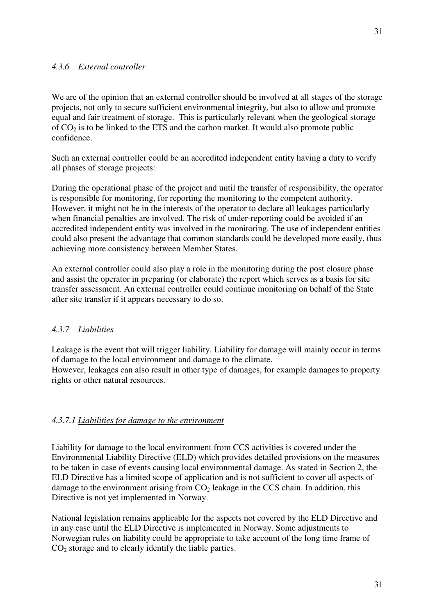We are of the opinion that an external controller should be involved at all stages of the storage projects, not only to secure sufficient environmental integrity, but also to allow and promote equal and fair treatment of storage. This is particularly relevant when the geological storage of  $CO<sub>2</sub>$  is to be linked to the ETS and the carbon market. It would also promote public confidence.

Such an external controller could be an accredited independent entity having a duty to verify all phases of storage projects:

During the operational phase of the project and until the transfer of responsibility, the operator is responsible for monitoring, for reporting the monitoring to the competent authority. However, it might not be in the interests of the operator to declare all leakages particularly when financial penalties are involved. The risk of under-reporting could be avoided if an accredited independent entity was involved in the monitoring. The use of independent entities could also present the advantage that common standards could be developed more easily, thus achieving more consistency between Member States.

An external controller could also play a role in the monitoring during the post closure phase and assist the operator in preparing (or elaborate) the report which serves as a basis for site transfer assessment. An external controller could continue monitoring on behalf of the State after site transfer if it appears necessary to do so.

# *4.3.7 Liabilities*

Leakage is the event that will trigger liability. Liability for damage will mainly occur in terms of damage to the local environment and damage to the climate.

However, leakages can also result in other type of damages, for example damages to property rights or other natural resources.

# *4.3.7.1 Liabilities for damage to the environment*

Liability for damage to the local environment from CCS activities is covered under the Environmental Liability Directive (ELD) which provides detailed provisions on the measures to be taken in case of events causing local environmental damage. As stated in Section 2, the ELD Directive has a limited scope of application and is not sufficient to cover all aspects of damage to the environment arising from  $CO<sub>2</sub>$  leakage in the CCS chain. In addition, this Directive is not yet implemented in Norway.

National legislation remains applicable for the aspects not covered by the ELD Directive and in any case until the ELD Directive is implemented in Norway. Some adjustments to Norwegian rules on liability could be appropriate to take account of the long time frame of  $CO<sub>2</sub>$  storage and to clearly identify the liable parties.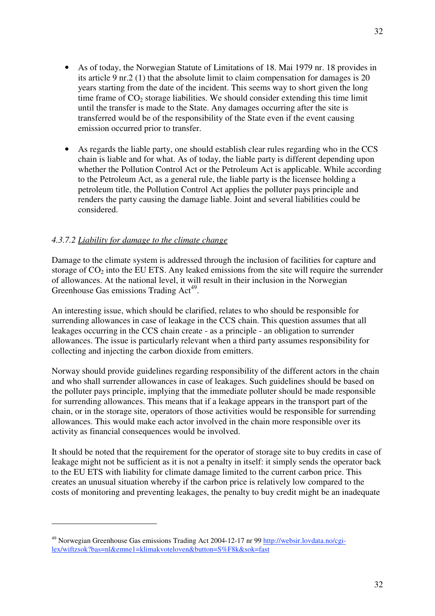- As of today, the Norwegian Statute of Limitations of 18. Mai 1979 nr. 18 provides in its article 9 nr.2 (1) that the absolute limit to claim compensation for damages is 20 years starting from the date of the incident. This seems way to short given the long time frame of  $CO<sub>2</sub>$  storage liabilities. We should consider extending this time limit until the transfer is made to the State. Any damages occurring after the site is transferred would be of the responsibility of the State even if the event causing emission occurred prior to transfer.
- As regards the liable party, one should establish clear rules regarding who in the CCS chain is liable and for what. As of today, the liable party is different depending upon whether the Pollution Control Act or the Petroleum Act is applicable. While according to the Petroleum Act, as a general rule, the liable party is the licensee holding a petroleum title, the Pollution Control Act applies the polluter pays principle and renders the party causing the damage liable. Joint and several liabilities could be considered.

# *4.3.7.2 Liability for damage to the climate change*

 $\overline{a}$ 

Damage to the climate system is addressed through the inclusion of facilities for capture and storage of  $CO<sub>2</sub>$  into the EU ETS. Any leaked emissions from the site will require the surrender of allowances. At the national level, it will result in their inclusion in the Norwegian Greenhouse Gas emissions Trading Act<sup>49</sup>.

An interesting issue, which should be clarified, relates to who should be responsible for surrending allowances in case of leakage in the CCS chain. This question assumes that all leakages occurring in the CCS chain create - as a principle - an obligation to surrender allowances. The issue is particularly relevant when a third party assumes responsibility for collecting and injecting the carbon dioxide from emitters.

Norway should provide guidelines regarding responsibility of the different actors in the chain and who shall surrender allowances in case of leakages. Such guidelines should be based on the polluter pays principle, implying that the immediate polluter should be made responsible for surrending allowances. This means that if a leakage appears in the transport part of the chain, or in the storage site, operators of those activities would be responsible for surrending allowances. This would make each actor involved in the chain more responsible over its activity as financial consequences would be involved.

It should be noted that the requirement for the operator of storage site to buy credits in case of leakage might not be sufficient as it is not a penalty in itself: it simply sends the operator back to the EU ETS with liability for climate damage limited to the current carbon price. This creates an unusual situation whereby if the carbon price is relatively low compared to the costs of monitoring and preventing leakages, the penalty to buy credit might be an inadequate

<sup>49</sup> Norwegian Greenhouse Gas emissions Trading Act 2004-12-17 nr 99 http://websir.lovdata.no/cgilex/wiftzsok?bas=nl&emne1=klimakvoteloven&button=S%F8k&sok=fast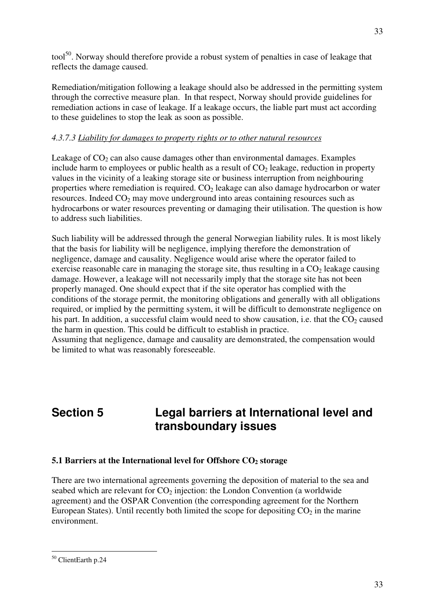tool<sup>50</sup>. Norway should therefore provide a robust system of penalties in case of leakage that reflects the damage caused.

Remediation/mitigation following a leakage should also be addressed in the permitting system through the corrective measure plan. In that respect, Norway should provide guidelines for remediation actions in case of leakage. If a leakage occurs, the liable part must act according to these guidelines to stop the leak as soon as possible.

# *4.3.7.3 Liability for damages to property rights or to other natural resources*

Leakage of  $CO<sub>2</sub>$  can also cause damages other than environmental damages. Examples include harm to employees or public health as a result of  $CO<sub>2</sub>$  leakage, reduction in property values in the vicinity of a leaking storage site or business interruption from neighbouring properties where remediation is required.  $CO<sub>2</sub>$  leakage can also damage hydrocarbon or water resources. Indeed  $CO<sub>2</sub>$  may move underground into areas containing resources such as hydrocarbons or water resources preventing or damaging their utilisation. The question is how to address such liabilities.

Such liability will be addressed through the general Norwegian liability rules. It is most likely that the basis for liability will be negligence, implying therefore the demonstration of negligence, damage and causality. Negligence would arise where the operator failed to exercise reasonable care in managing the storage site, thus resulting in a  $CO<sub>2</sub>$  leakage causing damage. However, a leakage will not necessarily imply that the storage site has not been properly managed. One should expect that if the site operator has complied with the conditions of the storage permit, the monitoring obligations and generally with all obligations required, or implied by the permitting system, it will be difficult to demonstrate negligence on his part. In addition, a successful claim would need to show causation, i.e. that the  $CO<sub>2</sub>$  caused the harm in question. This could be difficult to establish in practice.

Assuming that negligence, damage and causality are demonstrated, the compensation would be limited to what was reasonably foreseeable.

# **Section 5 Legal barriers at International level and transboundary issues**

# **5.1 Barriers at the International level for Offshore CO<sub>2</sub> storage**

There are two international agreements governing the deposition of material to the sea and seabed which are relevant for  $CO<sub>2</sub>$  injection: the London Convention (a worldwide agreement) and the OSPAR Convention (the corresponding agreement for the Northern European States). Until recently both limited the scope for depositing  $CO<sub>2</sub>$  in the marine environment.

<sup>50</sup> ClientEarth p.24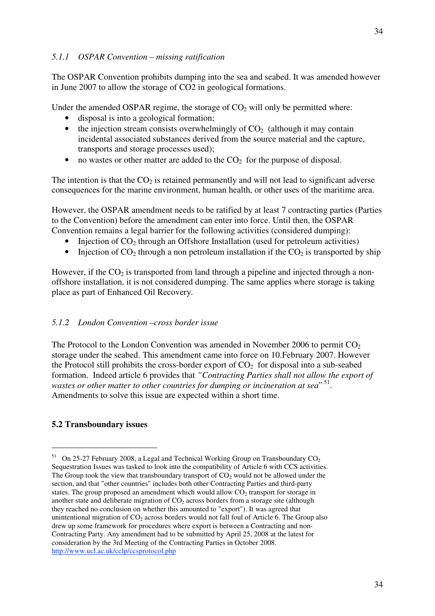The OSPAR Convention prohibits dumping into the sea and seabed. It was amended however in June 2007 to allow the storage of CO2 in geological formations.

Under the amended OSPAR regime, the storage of  $CO<sub>2</sub>$  will only be permitted where:

- disposal is into a geological formation;
- the injection stream consists overwhelmingly of  $CO<sub>2</sub>$  (although it may contain incidental associated substances derived from the source material and the capture, transports and storage processes used);
- no wastes or other matter are added to the  $CO<sub>2</sub>$  for the purpose of disposal.

The intention is that the  $CO<sub>2</sub>$  is retained permanently and will not lead to significant adverse consequences for the marine environment, human health, or other uses of the maritime area.

However, the OSPAR amendment needs to be ratified by at least 7 contracting parties (Parties to the Convention) before the amendment can enter into force. Until then, the OSPAR Convention remains a legal barrier for the following activities (considered dumping):

- Injection of  $CO<sub>2</sub>$  through an Offshore Installation (used for petroleum activities)
- Injection of  $CO<sub>2</sub>$  through a non petroleum installation if the  $CO<sub>2</sub>$  is transported by ship

However, if the  $CO<sub>2</sub>$  is transported from land through a pipeline and injected through a nonoffshore installation, it is not considered dumping. The same applies where storage is taking place as part of Enhanced Oil Recovery.

#### *5.1.2 London Convention –cross border issue*

The Protocol to the London Convention was amended in November 2006 to permit  $CO<sub>2</sub>$ storage under the seabed. This amendment came into force on 10.February 2007. However the Protocol still prohibits the cross-border export of  $CO<sub>2</sub>$  for disposal into a sub-seabed formation. Indeed article 6 provides that *"Contracting Parties shall not allow the export of*  wastes or other matter to other countries for dumping or incineration at sea<sup>", 51</sup>. Amendments to solve this issue are expected within a short time.

# **5.2 Transboundary issues**

<sup>&</sup>lt;sup>51</sup> On 25-27 February 2008, a Legal and Technical Working Group on Transboundary  $CO<sub>2</sub>$ Sequestration Issues was tasked to look into the compatibility of Article 6 with CCS activities. The Group took the view that transboundary transport of  $CO<sub>2</sub>$  would not be allowed under the section, and that "other countries" includes both other Contracting Parties and third-party states. The group proposed an amendment which would allow  $CO<sub>2</sub>$  transport for storage in another state and deliberate migration of  $CO<sub>2</sub>$  across borders from a storage site (although they reached no conclusion on whether this amounted to "export"). It was agreed that unintentional migration of  $CO<sub>2</sub>$  across borders would not fall foul of Article 6. The Group also drew up some framework for procedures where export is between a Contracting and non-Contracting Party. Any amendment had to be submitted by April 25, 2008 at the latest for consideration by the 3rd Meeting of the Contracting Parties in October 2008. http://www.ucl.ac.uk/cclp/ccsprotocol.php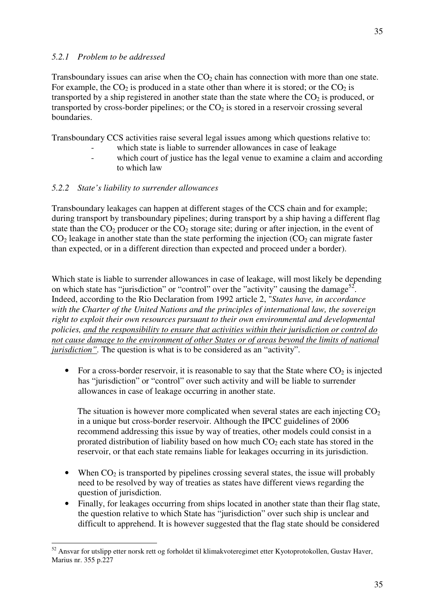# *5.2.1 Problem to be addressed*

Transboundary issues can arise when the  $CO<sub>2</sub>$  chain has connection with more than one state. For example, the  $CO_2$  is produced in a state other than where it is stored; or the  $CO_2$  is transported by a ship registered in another state than the state where the  $CO<sub>2</sub>$  is produced, or transported by cross-border pipelines; or the  $CO<sub>2</sub>$  is stored in a reservoir crossing several boundaries.

Transboundary CCS activities raise several legal issues among which questions relative to:

- which state is liable to surrender allowances in case of leakage
- which court of justice has the legal venue to examine a claim and according to which law

# *5.2.2 State's liability to surrender allowances*

Transboundary leakages can happen at different stages of the CCS chain and for example; during transport by transboundary pipelines; during transport by a ship having a different flag state than the  $CO<sub>2</sub>$  producer or the  $CO<sub>2</sub>$  storage site; during or after injection, in the event of  $CO<sub>2</sub>$  leakage in another state than the state performing the injection  $(CO<sub>2</sub>$  can migrate faster than expected, or in a different direction than expected and proceed under a border).

Which state is liable to surrender allowances in case of leakage, will most likely be depending on which state has "jurisdiction" or "control" over the "activity" causing the damage<sup>52</sup>. Indeed, according to the Rio Declaration from 1992 article 2, "*States have, in accordance with the Charter of the United Nations and the principles of international law, the sovereign right to exploit their own resources pursuant to their own environmental and developmental policies, and the responsibility to ensure that activities within their jurisdiction or control do not cause damage to the environment of other States or of areas beyond the limits of national jurisdiction*". The question is what is to be considered as an "activity".

• For a cross-border reservoir, it is reasonable to say that the State where  $CO_2$  is injected has "jurisdiction" or "control" over such activity and will be liable to surrender allowances in case of leakage occurring in another state.

The situation is however more complicated when several states are each injecting  $CO<sub>2</sub>$ in a unique but cross-border reservoir. Although the IPCC guidelines of 2006 recommend addressing this issue by way of treaties, other models could consist in a prorated distribution of liability based on how much  $CO<sub>2</sub>$  each state has stored in the reservoir, or that each state remains liable for leakages occurring in its jurisdiction.

- When  $CO<sub>2</sub>$  is transported by pipelines crossing several states, the issue will probably need to be resolved by way of treaties as states have different views regarding the question of jurisdiction.
- Finally, for leakages occurring from ships located in another state than their flag state, the question relative to which State has "jurisdiction" over such ship is unclear and difficult to apprehend. It is however suggested that the flag state should be considered

 $\overline{a}$ 52 Ansvar for utslipp etter norsk rett og forholdet til klimakvoteregimet etter Kyotoprotokollen, Gustav Haver, Marius nr. 355 p.227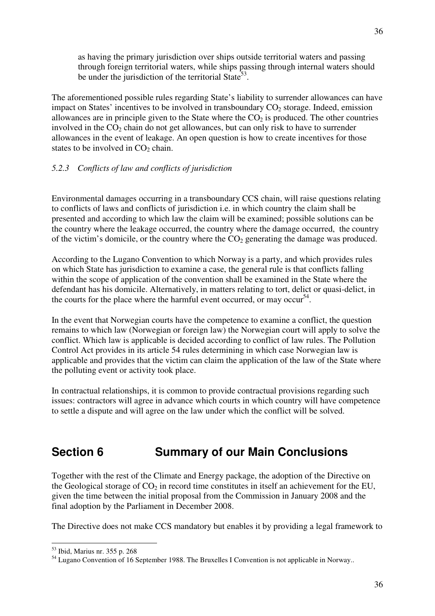as having the primary jurisdiction over ships outside territorial waters and passing through foreign territorial waters, while ships passing through internal waters should be under the jurisdiction of the territorial State<sup>53</sup>.

The aforementioned possible rules regarding State's liability to surrender allowances can have impact on States' incentives to be involved in transboundary  $CO<sub>2</sub>$  storage. Indeed, emission allowances are in principle given to the State where the  $CO<sub>2</sub>$  is produced. The other countries involved in the  $CO<sub>2</sub>$  chain do not get allowances, but can only risk to have to surrender allowances in the event of leakage. An open question is how to create incentives for those states to be involved in  $CO<sub>2</sub>$  chain.

# *5.2.3 Conflicts of law and conflicts of jurisdiction*

Environmental damages occurring in a transboundary CCS chain, will raise questions relating to conflicts of laws and conflicts of jurisdiction i.e. in which country the claim shall be presented and according to which law the claim will be examined; possible solutions can be the country where the leakage occurred, the country where the damage occurred, the country of the victim's domicile, or the country where the  $CO<sub>2</sub>$  generating the damage was produced.

According to the Lugano Convention to which Norway is a party, and which provides rules on which State has jurisdiction to examine a case, the general rule is that conflicts falling within the scope of application of the convention shall be examined in the State where the defendant has his domicile. Alternatively, in matters relating to tort, delict or quasi-delict, in the courts for the place where the harmful event occurred, or may occur<sup>54</sup>.

In the event that Norwegian courts have the competence to examine a conflict, the question remains to which law (Norwegian or foreign law) the Norwegian court will apply to solve the conflict. Which law is applicable is decided according to conflict of law rules. The Pollution Control Act provides in its article 54 rules determining in which case Norwegian law is applicable and provides that the victim can claim the application of the law of the State where the polluting event or activity took place.

In contractual relationships, it is common to provide contractual provisions regarding such issues: contractors will agree in advance which courts in which country will have competence to settle a dispute and will agree on the law under which the conflict will be solved.

# **Section 6 Summary of our Main Conclusions**

Together with the rest of the Climate and Energy package, the adoption of the Directive on the Geological storage of  $CO<sub>2</sub>$  in record time constitutes in itself an achievement for the EU, given the time between the initial proposal from the Commission in January 2008 and the final adoption by the Parliament in December 2008.

The Directive does not make CCS mandatory but enables it by providing a legal framework to

 $\overline{a}$ 53 Ibid, Marius nr. 355 p. 268

<sup>&</sup>lt;sup>54</sup> Lugano Convention of 16 September 1988. The Bruxelles I Convention is not applicable in Norway..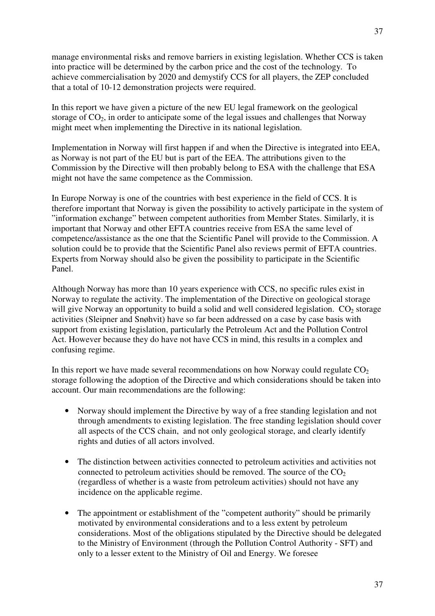manage environmental risks and remove barriers in existing legislation. Whether CCS is taken into practice will be determined by the carbon price and the cost of the technology. To achieve commercialisation by 2020 and demystify CCS for all players, the ZEP concluded that a total of 10-12 demonstration projects were required.

In this report we have given a picture of the new EU legal framework on the geological storage of  $CO<sub>2</sub>$ , in order to anticipate some of the legal issues and challenges that Norway might meet when implementing the Directive in its national legislation.

Implementation in Norway will first happen if and when the Directive is integrated into EEA, as Norway is not part of the EU but is part of the EEA. The attributions given to the Commission by the Directive will then probably belong to ESA with the challenge that ESA might not have the same competence as the Commission.

In Europe Norway is one of the countries with best experience in the field of CCS. It is therefore important that Norway is given the possibility to actively participate in the system of "information exchange" between competent authorities from Member States. Similarly, it is important that Norway and other EFTA countries receive from ESA the same level of competence/assistance as the one that the Scientific Panel will provide to the Commission. A solution could be to provide that the Scientific Panel also reviews permit of EFTA countries. Experts from Norway should also be given the possibility to participate in the Scientific Panel.

Although Norway has more than 10 years experience with CCS, no specific rules exist in Norway to regulate the activity. The implementation of the Directive on geological storage will give Norway an opportunity to build a solid and well considered legislation.  $CO<sub>2</sub>$  storage activities (Sleipner and Snøhvit) have so far been addressed on a case by case basis with support from existing legislation, particularly the Petroleum Act and the Pollution Control Act. However because they do have not have CCS in mind, this results in a complex and confusing regime.

In this report we have made several recommendations on how Norway could regulate  $CO<sub>2</sub>$ storage following the adoption of the Directive and which considerations should be taken into account. Our main recommendations are the following:

- Norway should implement the Directive by way of a free standing legislation and not through amendments to existing legislation. The free standing legislation should cover all aspects of the CCS chain, and not only geological storage, and clearly identify rights and duties of all actors involved.
- The distinction between activities connected to petroleum activities and activities not connected to petroleum activities should be removed. The source of the  $CO<sub>2</sub>$ (regardless of whether is a waste from petroleum activities) should not have any incidence on the applicable regime.
- The appointment or establishment of the "competent authority" should be primarily motivated by environmental considerations and to a less extent by petroleum considerations. Most of the obligations stipulated by the Directive should be delegated to the Ministry of Environment (through the Pollution Control Authority - SFT) and only to a lesser extent to the Ministry of Oil and Energy. We foresee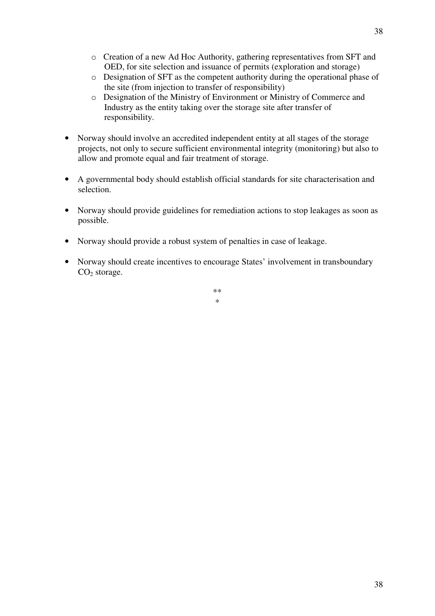- o Creation of a new Ad Hoc Authority, gathering representatives from SFT and OED, for site selection and issuance of permits (exploration and storage)
- o Designation of SFT as the competent authority during the operational phase of the site (from injection to transfer of responsibility)
- o Designation of the Ministry of Environment or Ministry of Commerce and Industry as the entity taking over the storage site after transfer of responsibility.
- Norway should involve an accredited independent entity at all stages of the storage projects, not only to secure sufficient environmental integrity (monitoring) but also to allow and promote equal and fair treatment of storage.
- A governmental body should establish official standards for site characterisation and selection.
- Norway should provide guidelines for remediation actions to stop leakages as soon as possible.
- Norway should provide a robust system of penalties in case of leakage.
- Norway should create incentives to encourage States' involvement in transboundary  $CO<sub>2</sub>$  storage.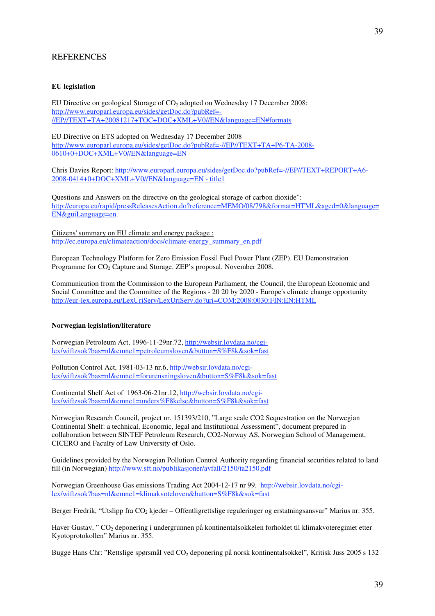#### **REFERENCES**

#### **EU legislation**

EU Directive on geological Storage of  $CO<sub>2</sub>$  adopted on Wednesday 17 December 2008: http://www.europarl.europa.eu/sides/getDoc.do?pubRef=- //EP//TEXT+TA+20081217+TOC+DOC+XML+V0//EN&language=EN#formats

EU Directive on ETS adopted on Wednesday 17 December 2008 http://www.europarl.europa.eu/sides/getDoc.do?pubRef=-//EP//TEXT+TA+P6-TA-2008- 0610+0+DOC+XML+V0//EN&language=EN

Chris Davies Report: http://www.europarl.europa.eu/sides/getDoc.do?pubRef=-//EP//TEXT+REPORT+A6- 2008-0414+0+DOC+XML+V0//EN&language=EN - title1

Questions and Answers on the directive on the geological storage of carbon dioxide": http://europa.eu/rapid/pressReleasesAction.do?reference=MEMO/08/798&format=HTML&aged=0&language= EN&guiLanguage=en.

Citizens' summary on EU climate and energy package : http://ec.europa.eu/climateaction/docs/climate-energy\_summary\_en.pdf

European Technology Platform for Zero Emission Fossil Fuel Power Plant (ZEP). EU Demonstration Programme for CO<sub>2</sub> Capture and Storage. ZEP's proposal. November 2008.

Communication from the Commission to the European Parliament, the Council, the European Economic and Social Committee and the Committee of the Regions - 20 20 by 2020 - Europe's climate change opportunity http://eur-lex.europa.eu/LexUriServ/LexUriServ.do?uri=COM:2008:0030:FIN:EN:HTML

#### **Norwegian legislation/literature**

Norwegian Petroleum Act, 1996-11-29nr.72, http://websir.lovdata.no/cgilex/wiftzsok?bas=nl&emne1=petroleumsloven&button=S%F8k&sok=fast

Pollution Control Act, 1981-03-13 nr.6, http://websir.lovdata.no/cgilex/wiftzsok?bas=nl&emne1=forurensningsloven&button=S%F8k&sok=fast

Continental Shelf Act of 1963-06-21nr.12, http://websir.lovdata.no/cgilex/wiftzsok?bas=nl&emne1=unders%F8kelse&button=S%F8k&sok=fast

Norwegian Research Council, project nr. 151393/210, "Large scale CO2 Sequestration on the Norwegian Continental Shelf: a technical, Economic, legal and Institutional Assessment", document prepared in collaboration between SINTEF Petroleum Research, CO2-Norway AS, Norwegian School of Management, CICERO and Faculty of Law University of Oslo.

Guidelines provided by the Norwegian Pollution Control Authority regarding financial securities related to land fill (in Norwegian) http://www.sft.no/publikasjoner/avfall/2150/ta2150.pdf

Norwegian Greenhouse Gas emissions Trading Act 2004-12-17 nr 99. http://websir.lovdata.no/cgilex/wiftzsok?bas=nl&emne1=klimakvoteloven&button=S%F8k&sok=fast

Berger Fredrik, "Utslipp fra CO<sub>2</sub> kjeder – Offentligrettslige reguleringer og erstatningsansvar" Marius nr. 355.

Haver Gustav, " CO<sub>2</sub> deponering i undergrunnen på kontinentalsokkelen forholdet til klimakvoteregimet etter Kyotoprotokollen" Marius nr. 355.

Bugge Hans Chr: "Rettslige spørsmål ved CO2 deponering på norsk kontinentalsokkel", Kritisk Juss 2005 s 132